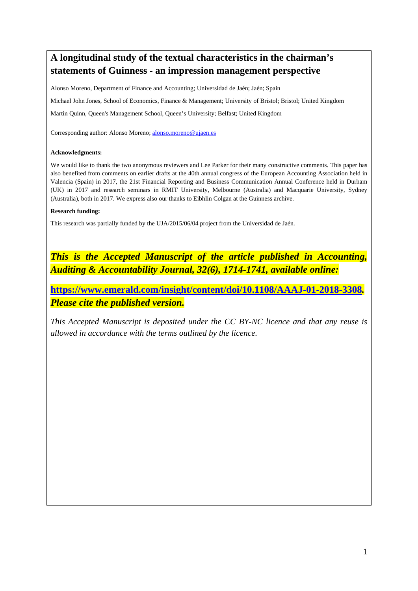# **A longitudinal study of the textual characteristics in the chairman's statements of Guinness - an impression management perspective**

Alonso Moreno, Department of Finance and Accounting; Universidad de Jaén; Jaén; Spain

Michael John Jones, School of Economics, Finance & Management; University of Bristol; Bristol; United Kingdom

Martin Quinn, Queen's Management School, Queen's University; Belfast; United Kingdom

Corresponding author: Alonso Moreno; alonso.moreno@ujaen.es

#### **Acknowledgments:**

We would like to thank the two anonymous reviewers and Lee Parker for their many constructive comments. This paper has also benefited from comments on earlier drafts at the 40th annual congress of the European Accounting Association held in Valencia (Spain) in 2017, the 21st Financial Reporting and Business Communication Annual Conference held in Durham (UK) in 2017 and research seminars in RMIT University, Melbourne (Australia) and Macquarie University, Sydney (Australia), both in 2017. We express also our thanks to Eibhlin Colgan at the Guinness archive.

#### **Research funding:**

This research was partially funded by the UJA/2015/06/04 project from the Universidad de Jaén.

*This is the Accepted Manuscript of the article published in Accounting, Auditing & Accountability Journal, 32(6), 1714-1741, available online:* 

**https://www.emerald.com/insight/content/doi/10.1108/AAAJ-01-2018-3308***. Please cite the published version.* 

*This Accepted Manuscript is deposited under the CC BY-NC licence and that any reuse is allowed in accordance with the terms outlined by the licence.*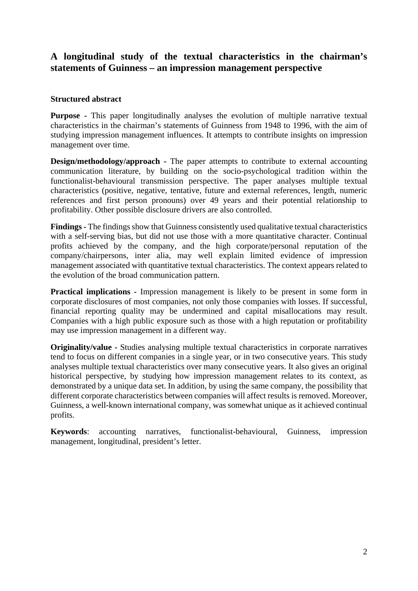# **A longitudinal study of the textual characteristics in the chairman's statements of Guinness – an impression management perspective**

## **Structured abstract**

**Purpose** - This paper longitudinally analyses the evolution of multiple narrative textual characteristics in the chairman's statements of Guinness from 1948 to 1996, with the aim of studying impression management influences. It attempts to contribute insights on impression management over time.

**Design/methodology/approach** - The paper attempts to contribute to external accounting communication literature, by building on the socio-psychological tradition within the functionalist-behavioural transmission perspective. The paper analyses multiple textual characteristics (positive, negative, tentative, future and external references, length, numeric references and first person pronouns) over 49 years and their potential relationship to profitability. Other possible disclosure drivers are also controlled.

**Findings -** The findings show that Guinness consistently used qualitative textual characteristics with a self-serving bias, but did not use those with a more quantitative character. Continual profits achieved by the company, and the high corporate/personal reputation of the company/chairpersons, inter alia, may well explain limited evidence of impression management associated with quantitative textual characteristics. The context appears related to the evolution of the broad communication pattern.

**Practical implications -** Impression management is likely to be present in some form in corporate disclosures of most companies, not only those companies with losses. If successful, financial reporting quality may be undermined and capital misallocations may result. Companies with a high public exposure such as those with a high reputation or profitability may use impression management in a different way.

**Originality/value -** Studies analysing multiple textual characteristics in corporate narratives tend to focus on different companies in a single year, or in two consecutive years. This study analyses multiple textual characteristics over many consecutive years. It also gives an original historical perspective, by studying how impression management relates to its context, as demonstrated by a unique data set. In addition, by using the same company, the possibility that different corporate characteristics between companies will affect results is removed. Moreover, Guinness, a well-known international company, was somewhat unique as it achieved continual profits.

**Keywords**: accounting narratives, functionalist-behavioural, Guinness, impression management, longitudinal, president's letter.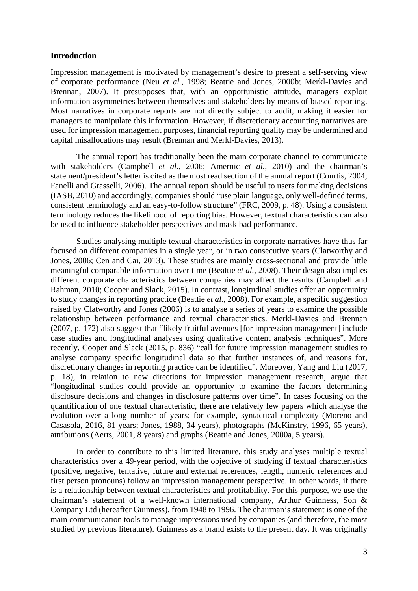#### **Introduction**

Impression management is motivated by management's desire to present a self-serving view of corporate performance (Neu *et al.*, 1998; Beattie and Jones, 2000b; Merkl-Davies and Brennan, 2007). It presupposes that, with an opportunistic attitude, managers exploit information asymmetries between themselves and stakeholders by means of biased reporting. Most narratives in corporate reports are not directly subject to audit, making it easier for managers to manipulate this information. However, if discretionary accounting narratives are used for impression management purposes, financial reporting quality may be undermined and capital misallocations may result (Brennan and Merkl-Davies, 2013).

The annual report has traditionally been the main corporate channel to communicate with stakeholders (Campbell *et al.*, 2006; Amernic *et al.*, 2010) and the chairman's statement/president's letter is cited as the most read section of the annual report (Courtis, 2004; Fanelli and Grasselli, 2006). The annual report should be useful to users for making decisions (IASB, 2010) and accordingly, companies should "use plain language, only well-defined terms, consistent terminology and an easy-to-follow structure" (FRC, 2009, p. 48). Using a consistent terminology reduces the likelihood of reporting bias. However, textual characteristics can also be used to influence stakeholder perspectives and mask bad performance.

Studies analysing multiple textual characteristics in corporate narratives have thus far focused on different companies in a single year, or in two consecutive years (Clatworthy and Jones, 2006; Cen and Cai, 2013). These studies are mainly cross-sectional and provide little meaningful comparable information over time (Beattie *et al.*, 2008). Their design also implies different corporate characteristics between companies may affect the results (Campbell and Rahman, 2010; Cooper and Slack, 2015). In contrast, longitudinal studies offer an opportunity to study changes in reporting practice (Beattie *et al.*, 2008). For example, a specific suggestion raised by Clatworthy and Jones (2006) is to analyse a series of years to examine the possible relationship between performance and textual characteristics. Merkl-Davies and Brennan (2007, p. 172) also suggest that "likely fruitful avenues [for impression management] include case studies and longitudinal analyses using qualitative content analysis techniques". More recently, Cooper and Slack (2015, p. 836) "call for future impression management studies to analyse company specific longitudinal data so that further instances of, and reasons for, discretionary changes in reporting practice can be identified". Moreover, Yang and Liu (2017, p. 18), in relation to new directions for impression management research, argue that "longitudinal studies could provide an opportunity to examine the factors determining disclosure decisions and changes in disclosure patterns over time". In cases focusing on the quantification of one textual characteristic, there are relatively few papers which analyse the evolution over a long number of years; for example, syntactical complexity (Moreno and Casasola, 2016, 81 years; Jones, 1988, 34 years), photographs (McKinstry, 1996, 65 years), attributions (Aerts, 2001, 8 years) and graphs (Beattie and Jones, 2000a, 5 years).

In order to contribute to this limited literature, this study analyses multiple textual characteristics over a 49-year period, with the objective of studying if textual characteristics (positive, negative, tentative, future and external references, length, numeric references and first person pronouns) follow an impression management perspective. In other words, if there is a relationship between textual characteristics and profitability. For this purpose, we use the chairman's statement of a well-known international company, Arthur Guinness, Son & Company Ltd (hereafter Guinness), from 1948 to 1996. The chairman's statement is one of the main communication tools to manage impressions used by companies (and therefore, the most studied by previous literature). Guinness as a brand exists to the present day. It was originally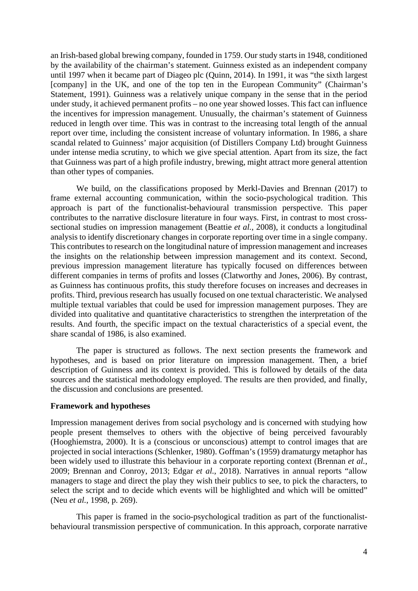an Irish-based global brewing company, founded in 1759. Our study starts in 1948, conditioned by the availability of the chairman's statement. Guinness existed as an independent company until 1997 when it became part of Diageo plc (Quinn, 2014). In 1991, it was "the sixth largest [company] in the UK, and one of the top ten in the European Community" (Chairman's Statement, 1991). Guinness was a relatively unique company in the sense that in the period under study, it achieved permanent profits – no one year showed losses. This fact can influence the incentives for impression management. Unusually, the chairman's statement of Guinness reduced in length over time. This was in contrast to the increasing total length of the annual report over time, including the consistent increase of voluntary information. In 1986, a share scandal related to Guinness' major acquisition (of Distillers Company Ltd) brought Guinness under intense media scrutiny, to which we give special attention. Apart from its size, the fact that Guinness was part of a high profile industry, brewing, might attract more general attention than other types of companies.

We build, on the classifications proposed by Merkl-Davies and Brennan (2017) to frame external accounting communication, within the socio-psychological tradition. This approach is part of the functionalist-behavioural transmission perspective. This paper contributes to the narrative disclosure literature in four ways. First, in contrast to most crosssectional studies on impression management (Beattie *et al.*, 2008), it conducts a longitudinal analysis to identify discretionary changes in corporate reporting over time in a single company. This contributes to research on the longitudinal nature of impression management and increases the insights on the relationship between impression management and its context. Second, previous impression management literature has typically focused on differences between different companies in terms of profits and losses (Clatworthy and Jones, 2006). By contrast, as Guinness has continuous profits, this study therefore focuses on increases and decreases in profits. Third, previous research has usually focused on one textual characteristic. We analysed multiple textual variables that could be used for impression management purposes. They are divided into qualitative and quantitative characteristics to strengthen the interpretation of the results. And fourth, the specific impact on the textual characteristics of a special event, the share scandal of 1986, is also examined.

The paper is structured as follows. The next section presents the framework and hypotheses, and is based on prior literature on impression management. Then, a brief description of Guinness and its context is provided. This is followed by details of the data sources and the statistical methodology employed. The results are then provided, and finally, the discussion and conclusions are presented.

#### **Framework and hypotheses**

Impression management derives from social psychology and is concerned with studying how people present themselves to others with the objective of being perceived favourably (Hooghiemstra, 2000). It is a (conscious or unconscious) attempt to control images that are projected in social interactions (Schlenker, 1980). Goffman's (1959) dramaturgy metaphor has been widely used to illustrate this behaviour in a corporate reporting context (Brennan *et al.*, 2009; Brennan and Conroy, 2013; Edgar *et al.*, 2018). Narratives in annual reports "allow managers to stage and direct the play they wish their publics to see, to pick the characters, to select the script and to decide which events will be highlighted and which will be omitted" (Neu *et al.*, 1998, p. 269).

 This paper is framed in the socio-psychological tradition as part of the functionalistbehavioural transmission perspective of communication. In this approach, corporate narrative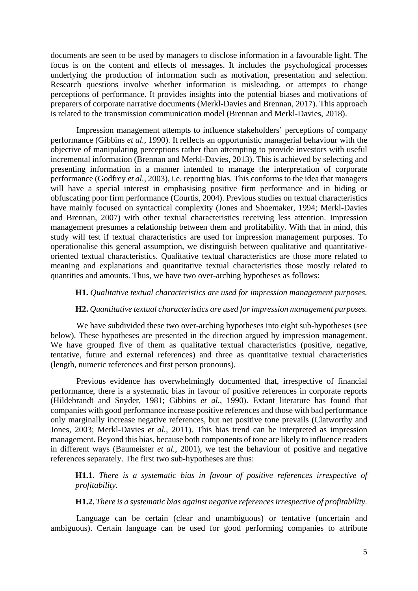documents are seen to be used by managers to disclose information in a favourable light. The focus is on the content and effects of messages. It includes the psychological processes underlying the production of information such as motivation, presentation and selection. Research questions involve whether information is misleading, or attempts to change perceptions of performance. It provides insights into the potential biases and motivations of preparers of corporate narrative documents (Merkl-Davies and Brennan, 2017). This approach is related to the transmission communication model (Brennan and Merkl-Davies, 2018).

 Impression management attempts to influence stakeholders' perceptions of company performance (Gibbins *et al.*, 1990). It reflects an opportunistic managerial behaviour with the objective of manipulating perceptions rather than attempting to provide investors with useful incremental information (Brennan and Merkl-Davies, 2013). This is achieved by selecting and presenting information in a manner intended to manage the interpretation of corporate performance (Godfrey *et al.*, 2003), i.e. reporting bias. This conforms to the idea that managers will have a special interest in emphasising positive firm performance and in hiding or obfuscating poor firm performance (Courtis, 2004). Previous studies on textual characteristics have mainly focused on syntactical complexity (Jones and Shoemaker, 1994; Merkl-Davies and Brennan, 2007) with other textual characteristics receiving less attention. Impression management presumes a relationship between them and profitability. With that in mind, this study will test if textual characteristics are used for impression management purposes. To operationalise this general assumption, we distinguish between qualitative and quantitativeoriented textual characteristics. Qualitative textual characteristics are those more related to meaning and explanations and quantitative textual characteristics those mostly related to quantities and amounts. Thus, we have two over-arching hypotheses as follows:

#### **H1.** *Qualitative textual characteristics are used for impression management purposes.*

#### **H2.** *Quantitative textual characteristics are used for impression management purposes.*

We have subdivided these two over-arching hypotheses into eight sub-hypotheses (see below). These hypotheses are presented in the direction argued by impression management. We have grouped five of them as qualitative textual characteristics (positive, negative, tentative, future and external references) and three as quantitative textual characteristics (length, numeric references and first person pronouns).

 Previous evidence has overwhelmingly documented that, irrespective of financial performance, there is a systematic bias in favour of positive references in corporate reports (Hildebrandt and Snyder, 1981; Gibbins *et al.*, 1990). Extant literature has found that companies with good performance increase positive references and those with bad performance only marginally increase negative references, but net positive tone prevails (Clatworthy and Jones, 2003; Merkl-Davies *et al.*, 2011). This bias trend can be interpreted as impression management. Beyond this bias, because both components of tone are likely to influence readers in different ways (Baumeister *et al.*, 2001)*,* we test the behaviour of positive and negative references separately. The first two sub-hypotheses are thus:

**H1.1.** *There is a systematic bias in favour of positive references irrespective of profitability.* 

#### **H1.2.** *There is a systematic bias against negative references irrespective of profitability.*

 Language can be certain (clear and unambiguous) or tentative (uncertain and ambiguous). Certain language can be used for good performing companies to attribute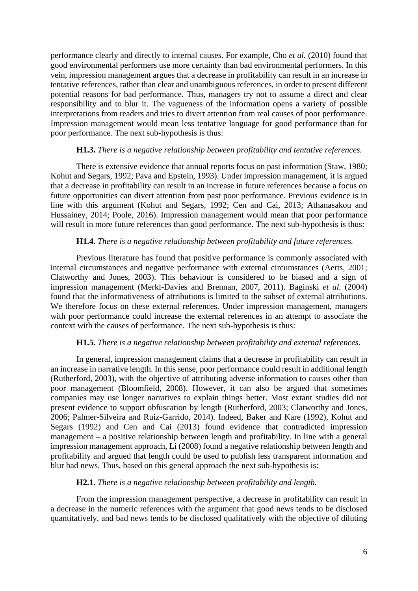performance clearly and directly to internal causes. For example, Cho *et al.* (2010) found that good environmental performers use more certainty than bad environmental performers. In this vein, impression management argues that a decrease in profitability can result in an increase in tentative references, rather than clear and unambiguous references, in order to present different potential reasons for bad performance. Thus, managers try not to assume a direct and clear responsibility and to blur it. The vagueness of the information opens a variety of possible interpretations from readers and tries to divert attention from real causes of poor performance. Impression management would mean less tentative language for good performance than for poor performance. The next sub-hypothesis is thus:

#### **H1.3.** *There is a negative relationship between profitability and tentative references.*

 There is extensive evidence that annual reports focus on past information (Staw, 1980; Kohut and Segars, 1992; Pava and Epstein, 1993). Under impression management, it is argued that a decrease in profitability can result in an increase in future references because a focus on future opportunities can divert attention from past poor performance. Previous evidence is in line with this argument (Kohut and Segars, 1992; Cen and Cai, 2013; Athanasakou and Hussainey, 2014; Poole, 2016). Impression management would mean that poor performance will result in more future references than good performance. The next sub-hypothesis is thus:

#### **H1.4.** *There is a negative relationship between profitability and future references.*

 Previous literature has found that positive performance is commonly associated with internal circumstances and negative performance with external circumstances (Aerts, 2001; Clatworthy and Jones, 2003). This behaviour is considered to be biased and a sign of impression management (Merkl-Davies and Brennan, 2007, 2011). Baginski *et al.* (2004) found that the informativeness of attributions is limited to the subset of external attributions. We therefore focus on these external references. Under impression management, managers with poor performance could increase the external references in an attempt to associate the context with the causes of performance. The next sub-hypothesis is thus:

#### **H1.5.** *There is a negative relationship between profitability and external references.*

In general, impression management claims that a decrease in profitability can result in an increase in narrative length. In this sense, poor performance could result in additional length (Rutherford, 2003), with the objective of attributing adverse information to causes other than poor management (Bloomfield, 2008). However, it can also be argued that sometimes companies may use longer narratives to explain things better. Most extant studies did not present evidence to support obfuscation by length (Rutherford, 2003; Clatworthy and Jones, 2006; Palmer-Silveira and Ruiz-Garrido, 2014). Indeed, Baker and Kare (1992), Kohut and Segars (1992) and Cen and Cai (2013) found evidence that contradicted impression management – a positive relationship between length and profitability. In line with a general impression management approach, Li (2008) found a negative relationship between length and profitability and argued that length could be used to publish less transparent information and blur bad news. Thus, based on this general approach the next sub-hypothesis is:

#### **H2.1.** *There is a negative relationship between profitability and length.*

From the impression management perspective, a decrease in profitability can result in a decrease in the numeric references with the argument that good news tends to be disclosed quantitatively, and bad news tends to be disclosed qualitatively with the objective of diluting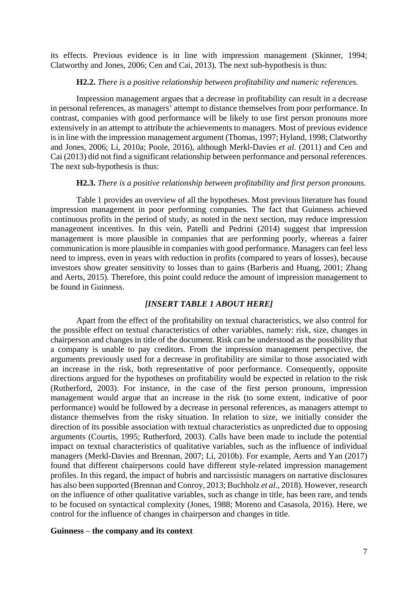its effects. Previous evidence is in line with impression management (Skinner, 1994; Clatworthy and Jones, 2006; Cen and Cai, 2013). The next sub-hypothesis is thus:

## **H2.2.** *There is a positive relationship between profitability and numeric references.*

 Impression management argues that a decrease in profitability can result in a decrease in personal references, as managers' attempt to distance themselves from poor performance. In contrast, companies with good performance will be likely to use first person pronouns more extensively in an attempt to attribute the achievements to managers. Most of previous evidence is in line with the impression management argument (Thomas, 1997; Hyland, 1998; Clatworthy and Jones, 2006; Li, 2010a; Poole, 2016), although Merkl-Davies *et al.* (2011) and Cen and Cai (2013) did not find a significant relationship between performance and personal references. The next sub-hypothesis is thus:

#### **H2.3.** *There is a positive relationship between profitability and first person pronouns.*

Table 1 provides an overview of all the hypotheses. Most previous literature has found impression management in poor performing companies. The fact that Guinness achieved continuous profits in the period of study, as noted in the next section, may reduce impression management incentives. In this vein, Patelli and Pedrini (2014) suggest that impression management is more plausible in companies that are performing poorly, whereas a fairer communication is more plausible in companies with good performance. Managers can feel less need to impress, even in years with reduction in profits (compared to years of losses), because investors show greater sensitivity to losses than to gains (Barberis and Huang, 2001; Zhang and Aerts, 2015). Therefore, this point could reduce the amount of impression management to be found in Guinness.

### *[INSERT TABLE 1 ABOUT HERE]*

Apart from the effect of the profitability on textual characteristics, we also control for the possible effect on textual characteristics of other variables, namely: risk, size, changes in chairperson and changes in title of the document. Risk can be understood as the possibility that a company is unable to pay creditors. From the impression management perspective, the arguments previously used for a decrease in profitability are similar to those associated with an increase in the risk, both representative of poor performance. Consequently, opposite directions argued for the hypotheses on profitability would be expected in relation to the risk (Rutherford, 2003). For instance, in the case of the first person pronouns, impression management would argue that an increase in the risk (to some extent, indicative of poor performance) would be followed by a decrease in personal references, as managers attempt to distance themselves from the risky situation. In relation to size, we initially consider the direction of its possible association with textual characteristics as unpredicted due to opposing arguments (Courtis, 1995; Rutherford, 2003). Calls have been made to include the potential impact on textual characteristics of qualitative variables, such as the influence of individual managers (Merkl-Davies and Brennan, 2007; Li, 2010b). For example, Aerts and Yan (2017) found that different chairpersons could have different style-related impression management profiles. In this regard, the impact of hubris and narcissistic managers on narrative disclosures has also been supported (Brennan and Conroy, 2013; Buchholz *et al.*, 2018). However, research on the influence of other qualitative variables, such as change in title, has been rare, and tends to be focused on syntactical complexity (Jones, 1988; Moreno and Casasola, 2016). Here, we control for the influence of changes in chairperson and changes in title.

#### **Guinness** – **the company and its context**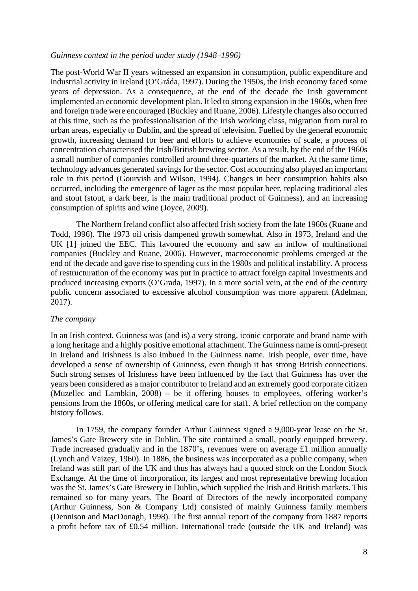#### *Guinness context in the period under study (1948*–*1996)*

The post-World War II years witnessed an expansion in consumption, public expenditure and industrial activity in Ireland (O'Gráda, 1997). During the 1950s, the Irish economy faced some years of depression. As a consequence, at the end of the decade the Irish government implemented an economic development plan. It led to strong expansion in the 1960s, when free and foreign trade were encouraged (Buckley and Ruane, 2006). Lifestyle changes also occurred at this time, such as the professionalisation of the Irish working class, migration from rural to urban areas, especially to Dublin, and the spread of television. Fuelled by the general economic growth, increasing demand for beer and efforts to achieve economies of scale, a process of concentration characterised the Irish/British brewing sector. As a result, by the end of the 1960s a small number of companies controlled around three-quarters of the market. At the same time, technology advances generated savings for the sector. Cost accounting also played an important role in this period (Gourvish and Wilson, 1994). Changes in beer consumption habits also occurred, including the emergence of lager as the most popular beer, replacing traditional ales and stout (stout, a dark beer, is the main traditional product of Guinness), and an increasing consumption of spirits and wine (Joyce, 2009).

 The Northern Ireland conflict also affected Irish society from the late 1960s (Ruane and Todd, 1996). The 1973 oil crisis dampened growth somewhat. Also in 1973, Ireland and the UK [1] joined the EEC. This favoured the economy and saw an inflow of multinational companies (Buckley and Ruane, 2006). However, macroeconomic problems emerged at the end of the decade and gave rise to spending cuts in the 1980s and political instability. A process of restructuration of the economy was put in practice to attract foreign capital investments and produced increasing exports (O'Grada, 1997). In a more social vein, at the end of the century public concern associated to excessive alcohol consumption was more apparent (Adelman, 2017).

#### *The company*

In an Irish context, Guinness was (and is) a very strong, iconic corporate and brand name with a long heritage and a highly positive emotional attachment. The Guinness name is omni-present in Ireland and Irishness is also imbued in the Guinness name. Irish people, over time, have developed a sense of ownership of Guinness, even though it has strong British connections. Such strong senses of Irishness have been influenced by the fact that Guinness has over the years been considered as a major contributor to Ireland and an extremely good corporate citizen (Muzellec and Lambkin, 2008) – be it offering houses to employees, offering worker's pensions from the 1860s, or offering medical care for staff. A brief reflection on the company history follows.

 In 1759, the company founder Arthur Guinness signed a 9,000-year lease on the St. James's Gate Brewery site in Dublin. The site contained a small, poorly equipped brewery. Trade increased gradually and in the 1870's, revenues were on average £1 million annually (Lynch and Vaizey, 1960). In 1886, the business was incorporated as a public company, when Ireland was still part of the UK and thus has always had a quoted stock on the London Stock Exchange. At the time of incorporation, its largest and most representative brewing location was the St. James's Gate Brewery in Dublin, which supplied the Irish and British markets. This remained so for many years. The Board of Directors of the newly incorporated company (Arthur Guinness, Son & Company Ltd) consisted of mainly Guinness family members (Dennison and MacDonagh, 1998). The first annual report of the company from 1887 reports a profit before tax of £0.54 million. International trade (outside the UK and Ireland) was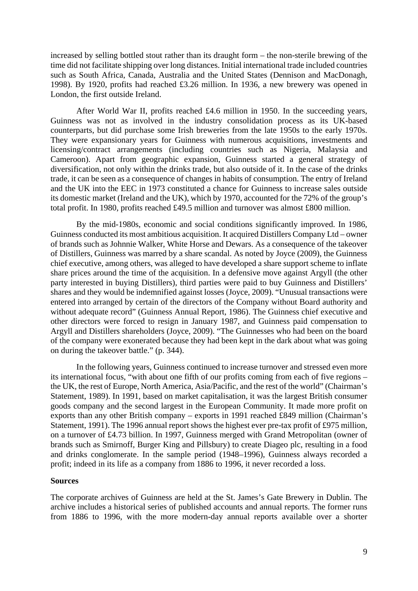increased by selling bottled stout rather than its draught form – the non-sterile brewing of the time did not facilitate shipping over long distances. Initial international trade included countries such as South Africa, Canada, Australia and the United States (Dennison and MacDonagh, 1998). By 1920, profits had reached £3.26 million. In 1936, a new brewery was opened in London, the first outside Ireland.

 After World War II, profits reached £4.6 million in 1950. In the succeeding years, Guinness was not as involved in the industry consolidation process as its UK-based counterparts, but did purchase some Irish breweries from the late 1950s to the early 1970s. They were expansionary years for Guinness with numerous acquisitions, investments and licensing/contract arrangements (including countries such as Nigeria, Malaysia and Cameroon). Apart from geographic expansion, Guinness started a general strategy of diversification, not only within the drinks trade, but also outside of it. In the case of the drinks trade, it can be seen as a consequence of changes in habits of consumption. The entry of Ireland and the UK into the EEC in 1973 constituted a chance for Guinness to increase sales outside its domestic market (Ireland and the UK), which by 1970, accounted for the 72% of the group's total profit. In 1980, profits reached £49.5 million and turnover was almost £800 million.

 By the mid-1980s, economic and social conditions significantly improved. In 1986, Guinness conducted its most ambitious acquisition. It acquired Distillers Company Ltd – owner of brands such as Johnnie Walker, White Horse and Dewars. As a consequence of the takeover of Distillers, Guinness was marred by a share scandal. As noted by Joyce (2009), the Guinness chief executive, among others, was alleged to have developed a share support scheme to inflate share prices around the time of the acquisition. In a defensive move against Argyll (the other party interested in buying Distillers), third parties were paid to buy Guinness and Distillers' shares and they would be indemnified against losses (Joyce, 2009). "Unusual transactions were entered into arranged by certain of the directors of the Company without Board authority and without adequate record" (Guinness Annual Report, 1986). The Guinness chief executive and other directors were forced to resign in January 1987, and Guinness paid compensation to Argyll and Distillers shareholders (Joyce, 2009). "The Guinnesses who had been on the board of the company were exonerated because they had been kept in the dark about what was going on during the takeover battle." (p. 344).

 In the following years, Guinness continued to increase turnover and stressed even more its international focus, "with about one fifth of our profits coming from each of five regions – the UK, the rest of Europe, North America, Asia/Pacific, and the rest of the world" (Chairman's Statement, 1989). In 1991, based on market capitalisation, it was the largest British consumer goods company and the second largest in the European Community. It made more profit on exports than any other British company – exports in 1991 reached £849 million (Chairman's Statement, 1991). The 1996 annual report shows the highest ever pre-tax profit of £975 million, on a turnover of £4.73 billion. In 1997, Guinness merged with Grand Metropolitan (owner of brands such as Smirnoff, Burger King and Pillsbury) to create Diageo plc, resulting in a food and drinks conglomerate. In the sample period (1948–1996), Guinness always recorded a profit; indeed in its life as a company from 1886 to 1996, it never recorded a loss.

### **Sources**

The corporate archives of Guinness are held at the St. James's Gate Brewery in Dublin. The archive includes a historical series of published accounts and annual reports. The former runs from 1886 to 1996, with the more modern-day annual reports available over a shorter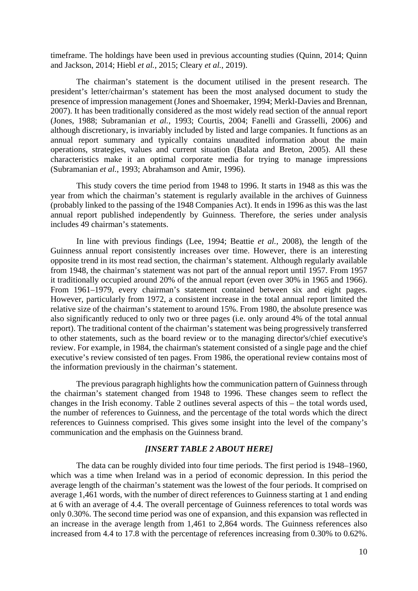timeframe. The holdings have been used in previous accounting studies (Quinn, 2014; Quinn and Jackson, 2014; Hiebl *et al.*, 2015; Cleary *et al.*, 2019).

 The chairman's statement is the document utilised in the present research. The president's letter/chairman's statement has been the most analysed document to study the presence of impression management (Jones and Shoemaker, 1994; Merkl-Davies and Brennan, 2007). It has been traditionally considered as the most widely read section of the annual report (Jones, 1988; Subramanian *et al.*, 1993; Courtis, 2004; Fanelli and Grasselli, 2006) and although discretionary, is invariably included by listed and large companies. It functions as an annual report summary and typically contains unaudited information about the main operations, strategies, values and current situation (Balata and Breton, 2005). All these characteristics make it an optimal corporate media for trying to manage impressions (Subramanian *et al.*, 1993; Abrahamson and Amir, 1996).

This study covers the time period from 1948 to 1996. It starts in 1948 as this was the year from which the chairman's statement is regularly available in the archives of Guinness (probably linked to the passing of the 1948 Companies Act). It ends in 1996 as this was the last annual report published independently by Guinness. Therefore, the series under analysis includes 49 chairman's statements.

 In line with previous findings (Lee, 1994; Beattie *et al.*, 2008), the length of the Guinness annual report consistently increases over time. However, there is an interesting opposite trend in its most read section, the chairman's statement. Although regularly available from 1948, the chairman's statement was not part of the annual report until 1957. From 1957 it traditionally occupied around 20% of the annual report (even over 30% in 1965 and 1966). From 1961–1979, every chairman's statement contained between six and eight pages. However, particularly from 1972, a consistent increase in the total annual report limited the relative size of the chairman's statement to around 15%. From 1980, the absolute presence was also significantly reduced to only two or three pages (i.e. only around 4% of the total annual report). The traditional content of the chairman's statement was being progressively transferred to other statements, such as the board review or to the managing director's/chief executive's review. For example, in 1984, the chairman's statement consisted of a single page and the chief executive's review consisted of ten pages. From 1986, the operational review contains most of the information previously in the chairman's statement.

 The previous paragraph highlights how the communication pattern of Guinness through the chairman's statement changed from 1948 to 1996. These changes seem to reflect the changes in the Irish economy. Table 2 outlines several aspects of this – the total words used, the number of references to Guinness, and the percentage of the total words which the direct references to Guinness comprised. This gives some insight into the level of the company's communication and the emphasis on the Guinness brand.

## *[INSERT TABLE 2 ABOUT HERE]*

 The data can be roughly divided into four time periods. The first period is 1948–1960, which was a time when Ireland was in a period of economic depression. In this period the average length of the chairman's statement was the lowest of the four periods. It comprised on average 1,461 words, with the number of direct references to Guinness starting at 1 and ending at 6 with an average of 4.4. The overall percentage of Guinness references to total words was only 0.30%. The second time period was one of expansion, and this expansion was reflected in an increase in the average length from 1,461 to 2,864 words. The Guinness references also increased from 4.4 to 17.8 with the percentage of references increasing from 0.30% to 0.62%.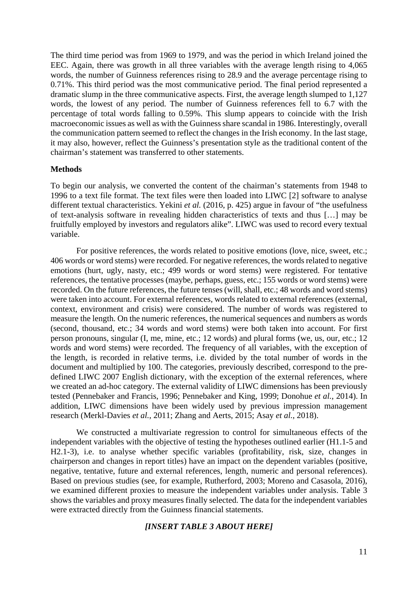The third time period was from 1969 to 1979, and was the period in which Ireland joined the EEC. Again, there was growth in all three variables with the average length rising to 4,065 words, the number of Guinness references rising to 28.9 and the average percentage rising to 0.71%. This third period was the most communicative period. The final period represented a dramatic slump in the three communicative aspects. First, the average length slumped to 1,127 words, the lowest of any period. The number of Guinness references fell to 6.7 with the percentage of total words falling to 0.59%. This slump appears to coincide with the Irish macroeconomic issues as well as with the Guinness share scandal in 1986. Interestingly, overall the communication pattern seemed to reflect the changes in the Irish economy. In the last stage, it may also, however, reflect the Guinness's presentation style as the traditional content of the chairman's statement was transferred to other statements.

#### **Methods**

To begin our analysis, we converted the content of the chairman's statements from 1948 to 1996 to a text file format. The text files were then loaded into LIWC [2] software to analyse different textual characteristics. Yekini *et al.* (2016, p. 425) argue in favour of "the usefulness of text-analysis software in revealing hidden characteristics of texts and thus […] may be fruitfully employed by investors and regulators alike". LIWC was used to record every textual variable.

For positive references, the words related to positive emotions (love, nice, sweet, etc.; 406 words or word stems) were recorded. For negative references, the words related to negative emotions (hurt, ugly, nasty, etc.; 499 words or word stems) were registered. For tentative references, the tentative processes (maybe, perhaps, guess, etc.; 155 words or word stems) were recorded. On the future references, the future tenses (will, shall, etc.; 48 words and word stems) were taken into account. For external references, words related to external references (external, context, environment and crisis) were considered. The number of words was registered to measure the length. On the numeric references, the numerical sequences and numbers as words (second, thousand, etc.; 34 words and word stems) were both taken into account. For first person pronouns, singular (I, me, mine, etc.; 12 words) and plural forms (we, us, our, etc.; 12 words and word stems) were recorded. The frequency of all variables, with the exception of the length, is recorded in relative terms, i.e. divided by the total number of words in the document and multiplied by 100. The categories, previously described, correspond to the predefined LIWC 2007 English dictionary, with the exception of the external references, where we created an ad-hoc category. The external validity of LIWC dimensions has been previously tested (Pennebaker and Francis, 1996; Pennebaker and King, 1999; Donohue *et al.*, 2014). In addition, LIWC dimensions have been widely used by previous impression management research (Merkl-Davies *et al.*, 2011; Zhang and Aerts, 2015; Asay *et al.*, 2018).

We constructed a multivariate regression to control for simultaneous effects of the independent variables with the objective of testing the hypotheses outlined earlier (H1.1-5 and H2.1-3), i.e. to analyse whether specific variables (profitability, risk, size, changes in chairperson and changes in report titles) have an impact on the dependent variables (positive, negative, tentative, future and external references, length, numeric and personal references). Based on previous studies (see, for example, Rutherford, 2003; Moreno and Casasola, 2016), we examined different proxies to measure the independent variables under analysis. Table 3 shows the variables and proxy measures finally selected. The data for the independent variables were extracted directly from the Guinness financial statements.

## *[INSERT TABLE 3 ABOUT HERE]*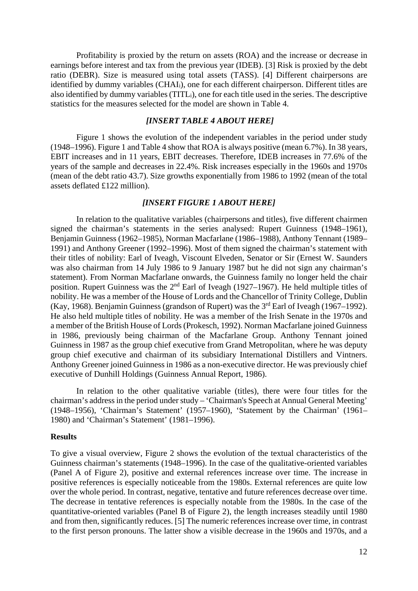Profitability is proxied by the return on assets (ROA) and the increase or decrease in earnings before interest and tax from the previous year (IDEB). [3] Risk is proxied by the debt ratio (DEBR). Size is measured using total assets (TASS). [4] Different chairpersons are identified by dummy variables (CHAIi), one for each different chairperson. Different titles are also identified by dummy variables (TITLi), one for each title used in the series. The descriptive statistics for the measures selected for the model are shown in Table 4.

## *[INSERT TABLE 4 ABOUT HERE]*

 Figure 1 shows the evolution of the independent variables in the period under study (1948–1996). Figure 1 and Table 4 show that ROA is always positive (mean 6.7%). In 38 years, EBIT increases and in 11 years, EBIT decreases. Therefore, IDEB increases in 77.6% of the years of the sample and decreases in 22.4%. Risk increases especially in the 1960s and 1970s (mean of the debt ratio 43.7). Size growths exponentially from 1986 to 1992 (mean of the total assets deflated £122 million).

## *[INSERT FIGURE 1 ABOUT HERE]*

 In relation to the qualitative variables (chairpersons and titles), five different chairmen signed the chairman's statements in the series analysed: Rupert Guinness (1948–1961), Benjamin Guinness (1962–1985), Norman Macfarlane (1986–1988), Anthony Tennant (1989– 1991) and Anthony Greener (1992–1996). Most of them signed the chairman's statement with their titles of nobility: Earl of Iveagh, Viscount Elveden, Senator or Sir (Ernest W. Saunders was also chairman from 14 July 1986 to 9 January 1987 but he did not sign any chairman's statement). From Norman Macfarlane onwards, the Guinness family no longer held the chair position. Rupert Guinness was the 2<sup>nd</sup> Earl of Iveagh (1927–1967). He held multiple titles of nobility. He was a member of the House of Lords and the Chancellor of Trinity College, Dublin (Kay, 1968). Benjamin Guinness (grandson of Rupert) was the  $3<sup>rd</sup>$  Earl of Iveagh (1967–1992). He also held multiple titles of nobility. He was a member of the Irish Senate in the 1970s and a member of the British House of Lords (Prokesch, 1992). Norman Macfarlane joined Guinness in 1986, previously being chairman of the Macfarlane Group. Anthony Tennant joined Guinness in 1987 as the group chief executive from Grand Metropolitan, where he was deputy group chief executive and chairman of its subsidiary International Distillers and Vintners. Anthony Greener joined Guinness in 1986 as a non-executive director. He was previously chief executive of Dunhill Holdings (Guinness Annual Report, 1986).

 In relation to the other qualitative variable (titles), there were four titles for the chairman's address in the period under study – 'Chairman's Speech at Annual General Meeting' (1948–1956), 'Chairman's Statement' (1957–1960), 'Statement by the Chairman' (1961– 1980) and 'Chairman's Statement' (1981–1996).

#### **Results**

To give a visual overview, Figure 2 shows the evolution of the textual characteristics of the Guinness chairman's statements (1948–1996). In the case of the qualitative-oriented variables (Panel A of Figure 2), positive and external references increase over time. The increase in positive references is especially noticeable from the 1980s. External references are quite low over the whole period. In contrast, negative, tentative and future references decrease over time. The decrease in tentative references is especially notable from the 1980s. In the case of the quantitative-oriented variables (Panel B of Figure 2), the length increases steadily until 1980 and from then, significantly reduces. [5] The numeric references increase over time, in contrast to the first person pronouns. The latter show a visible decrease in the 1960s and 1970s, and a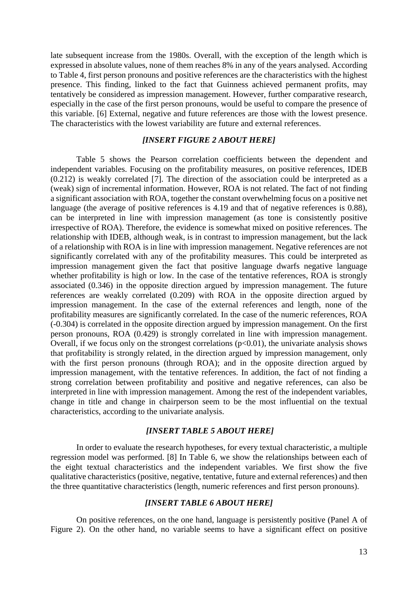late subsequent increase from the 1980s. Overall, with the exception of the length which is expressed in absolute values, none of them reaches 8% in any of the years analysed. According to Table 4, first person pronouns and positive references are the characteristics with the highest presence. This finding, linked to the fact that Guinness achieved permanent profits, may tentatively be considered as impression management. However, further comparative research, especially in the case of the first person pronouns, would be useful to compare the presence of this variable. [6] External, negative and future references are those with the lowest presence. The characteristics with the lowest variability are future and external references.

#### *[INSERT FIGURE 2 ABOUT HERE]*

 Table 5 shows the Pearson correlation coefficients between the dependent and independent variables. Focusing on the profitability measures, on positive references, IDEB (0.212) is weakly correlated [7]. The direction of the association could be interpreted as a (weak) sign of incremental information. However, ROA is not related. The fact of not finding a significant association with ROA, together the constant overwhelming focus on a positive net language (the average of positive references is 4.19 and that of negative references is 0.88), can be interpreted in line with impression management (as tone is consistently positive irrespective of ROA). Therefore, the evidence is somewhat mixed on positive references. The relationship with IDEB, although weak, is in contrast to impression management, but the lack of a relationship with ROA is in line with impression management. Negative references are not significantly correlated with any of the profitability measures. This could be interpreted as impression management given the fact that positive language dwarfs negative language whether profitability is high or low. In the case of the tentative references, ROA is strongly associated (0.346) in the opposite direction argued by impression management. The future references are weakly correlated (0.209) with ROA in the opposite direction argued by impression management. In the case of the external references and length, none of the profitability measures are significantly correlated. In the case of the numeric references, ROA (-0.304) is correlated in the opposite direction argued by impression management. On the first person pronouns, ROA (0.429) is strongly correlated in line with impression management. Overall, if we focus only on the strongest correlations  $(p<0.01)$ , the univariate analysis shows that profitability is strongly related, in the direction argued by impression management, only with the first person pronouns (through ROA); and in the opposite direction argued by impression management, with the tentative references. In addition, the fact of not finding a strong correlation between profitability and positive and negative references, can also be interpreted in line with impression management. Among the rest of the independent variables, change in title and change in chairperson seem to be the most influential on the textual characteristics, according to the univariate analysis.

### *[INSERT TABLE 5 ABOUT HERE]*

In order to evaluate the research hypotheses, for every textual characteristic, a multiple regression model was performed. [8] In Table 6, we show the relationships between each of the eight textual characteristics and the independent variables. We first show the five qualitative characteristics (positive, negative, tentative, future and external references) and then the three quantitative characteristics (length, numeric references and first person pronouns).

## *[INSERT TABLE 6 ABOUT HERE]*

On positive references, on the one hand, language is persistently positive (Panel A of Figure 2). On the other hand, no variable seems to have a significant effect on positive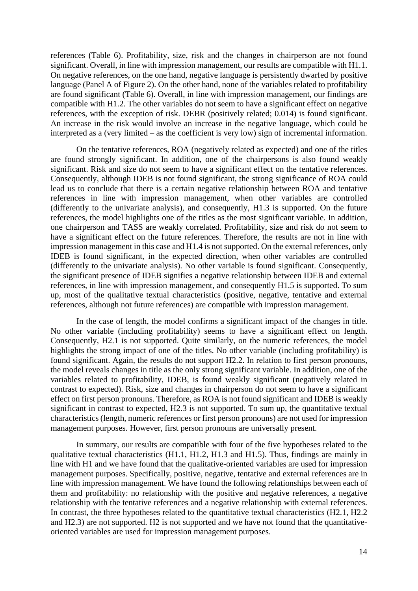references (Table 6). Profitability, size, risk and the changes in chairperson are not found significant. Overall, in line with impression management, our results are compatible with H1.1. On negative references, on the one hand, negative language is persistently dwarfed by positive language (Panel A of Figure 2). On the other hand, none of the variables related to profitability are found significant (Table 6). Overall, in line with impression management, our findings are compatible with H1.2. The other variables do not seem to have a significant effect on negative references, with the exception of risk. DEBR (positively related; 0.014) is found significant. An increase in the risk would involve an increase in the negative language, which could be interpreted as a (very limited – as the coefficient is very low) sign of incremental information.

On the tentative references, ROA (negatively related as expected) and one of the titles are found strongly significant. In addition, one of the chairpersons is also found weakly significant. Risk and size do not seem to have a significant effect on the tentative references. Consequently, although IDEB is not found significant, the strong significance of ROA could lead us to conclude that there is a certain negative relationship between ROA and tentative references in line with impression management, when other variables are controlled (differently to the univariate analysis), and consequently, H1.3 is supported. On the future references, the model highlights one of the titles as the most significant variable. In addition, one chairperson and TASS are weakly correlated. Profitability, size and risk do not seem to have a significant effect on the future references. Therefore, the results are not in line with impression management in this case and H1.4 is not supported. On the external references, only IDEB is found significant, in the expected direction, when other variables are controlled (differently to the univariate analysis). No other variable is found significant. Consequently, the significant presence of IDEB signifies a negative relationship between IDEB and external references, in line with impression management, and consequently H1.5 is supported. To sum up, most of the qualitative textual characteristics (positive, negative, tentative and external references, although not future references) are compatible with impression management.

In the case of length, the model confirms a significant impact of the changes in title. No other variable (including profitability) seems to have a significant effect on length. Consequently, H2.1 is not supported. Quite similarly, on the numeric references, the model highlights the strong impact of one of the titles. No other variable (including profitability) is found significant. Again, the results do not support H2.2. In relation to first person pronouns, the model reveals changes in title as the only strong significant variable. In addition, one of the variables related to profitability, IDEB, is found weakly significant (negatively related in contrast to expected). Risk, size and changes in chairperson do not seem to have a significant effect on first person pronouns. Therefore, as ROA is not found significant and IDEB is weakly significant in contrast to expected, H2.3 is not supported. To sum up, the quantitative textual characteristics (length, numeric references or first person pronouns) are not used for impression management purposes. However, first person pronouns are universally present.

In summary, our results are compatible with four of the five hypotheses related to the qualitative textual characteristics (H1.1, H1.2, H1.3 and H1.5). Thus, findings are mainly in line with H1 and we have found that the qualitative-oriented variables are used for impression management purposes. Specifically, positive, negative, tentative and external references are in line with impression management. We have found the following relationships between each of them and profitability: no relationship with the positive and negative references, a negative relationship with the tentative references and a negative relationship with external references. In contrast, the three hypotheses related to the quantitative textual characteristics (H2.1, H2.2 and H2.3) are not supported. H2 is not supported and we have not found that the quantitativeoriented variables are used for impression management purposes.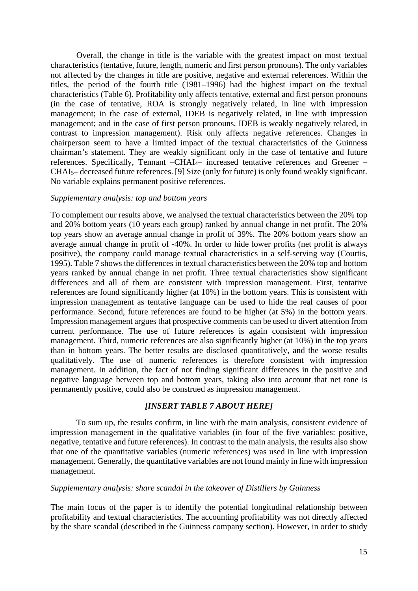Overall, the change in title is the variable with the greatest impact on most textual characteristics (tentative, future, length, numeric and first person pronouns). The only variables not affected by the changes in title are positive, negative and external references. Within the titles, the period of the fourth title (1981–1996) had the highest impact on the textual characteristics (Table 6). Profitability only affects tentative, external and first person pronouns (in the case of tentative, ROA is strongly negatively related, in line with impression management; in the case of external, IDEB is negatively related, in line with impression management; and in the case of first person pronouns, IDEB is weakly negatively related, in contrast to impression management). Risk only affects negative references. Changes in chairperson seem to have a limited impact of the textual characteristics of the Guinness chairman's statement. They are weakly significant only in the case of tentative and future references. Specifically, Tennant –CHAI4– increased tentative references and Greener – CHAI5– decreased future references. [9] Size (only for future) is only found weakly significant. No variable explains permanent positive references.

#### *Supplementary analysis: top and bottom years*

To complement our results above, we analysed the textual characteristics between the 20% top and 20% bottom years (10 years each group) ranked by annual change in net profit. The 20% top years show an average annual change in profit of 39%. The 20% bottom years show an average annual change in profit of -40%. In order to hide lower profits (net profit is always positive), the company could manage textual characteristics in a self-serving way (Courtis, 1995). Table 7 shows the differences in textual characteristics between the 20% top and bottom years ranked by annual change in net profit. Three textual characteristics show significant differences and all of them are consistent with impression management. First, tentative references are found significantly higher (at 10%) in the bottom years. This is consistent with impression management as tentative language can be used to hide the real causes of poor performance. Second, future references are found to be higher (at 5%) in the bottom years. Impression management argues that prospective comments can be used to divert attention from current performance. The use of future references is again consistent with impression management. Third, numeric references are also significantly higher (at 10%) in the top years than in bottom years. The better results are disclosed quantitatively, and the worse results qualitatively. The use of numeric references is therefore consistent with impression management. In addition, the fact of not finding significant differences in the positive and negative language between top and bottom years, taking also into account that net tone is permanently positive, could also be construed as impression management.

# *[INSERT TABLE 7 ABOUT HERE]*

 To sum up, the results confirm, in line with the main analysis, consistent evidence of impression management in the qualitative variables (in four of the five variables: positive, negative, tentative and future references). In contrast to the main analysis, the results also show that one of the quantitative variables (numeric references) was used in line with impression management. Generally, the quantitative variables are not found mainly in line with impression management.

## *Supplementary analysis: share scandal in the takeover of Distillers by Guinness*

The main focus of the paper is to identify the potential longitudinal relationship between profitability and textual characteristics. The accounting profitability was not directly affected by the share scandal (described in the Guinness company section). However, in order to study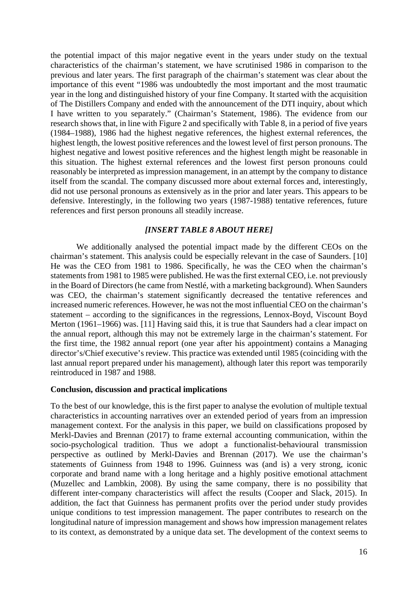the potential impact of this major negative event in the years under study on the textual characteristics of the chairman's statement, we have scrutinised 1986 in comparison to the previous and later years. The first paragraph of the chairman's statement was clear about the importance of this event "1986 was undoubtedly the most important and the most traumatic year in the long and distinguished history of your fine Company. It started with the acquisition of The Distillers Company and ended with the announcement of the DTI inquiry, about which I have written to you separately." (Chairman's Statement, 1986). The evidence from our research shows that, in line with Figure 2 and specifically with Table 8, in a period of five years (1984–1988), 1986 had the highest negative references, the highest external references, the highest length, the lowest positive references and the lowest level of first person pronouns. The highest negative and lowest positive references and the highest length might be reasonable in this situation. The highest external references and the lowest first person pronouns could reasonably be interpreted as impression management, in an attempt by the company to distance itself from the scandal. The company discussed more about external forces and, interestingly, did not use personal pronouns as extensively as in the prior and later years. This appears to be defensive. Interestingly, in the following two years (1987-1988) tentative references, future references and first person pronouns all steadily increase.

## *[INSERT TABLE 8 ABOUT HERE]*

 We additionally analysed the potential impact made by the different CEOs on the chairman's statement. This analysis could be especially relevant in the case of Saunders. [10] He was the CEO from 1981 to 1986. Specifically, he was the CEO when the chairman's statements from 1981 to 1985 were published. He was the first external CEO, i.e. not previously in the Board of Directors (he came from Nestlé, with a marketing background). When Saunders was CEO, the chairman's statement significantly decreased the tentative references and increased numeric references. However, he was not the most influential CEO on the chairman's statement – according to the significances in the regressions, Lennox-Boyd, Viscount Boyd Merton (1961–1966) was. [11] Having said this, it is true that Saunders had a clear impact on the annual report, although this may not be extremely large in the chairman's statement. For the first time, the 1982 annual report (one year after his appointment) contains a Managing director's/Chief executive's review. This practice was extended until 1985 (coinciding with the last annual report prepared under his management), although later this report was temporarily reintroduced in 1987 and 1988.

### **Conclusion, discussion and practical implications**

To the best of our knowledge, this is the first paper to analyse the evolution of multiple textual characteristics in accounting narratives over an extended period of years from an impression management context. For the analysis in this paper, we build on classifications proposed by Merkl-Davies and Brennan (2017) to frame external accounting communication, within the socio-psychological tradition. Thus we adopt a functionalist-behavioural transmission perspective as outlined by Merkl-Davies and Brennan (2017). We use the chairman's statements of Guinness from 1948 to 1996. Guinness was (and is) a very strong, iconic corporate and brand name with a long heritage and a highly positive emotional attachment (Muzellec and Lambkin, 2008). By using the same company, there is no possibility that different inter-company characteristics will affect the results (Cooper and Slack, 2015). In addition, the fact that Guinness has permanent profits over the period under study provides unique conditions to test impression management. The paper contributes to research on the longitudinal nature of impression management and shows how impression management relates to its context, as demonstrated by a unique data set. The development of the context seems to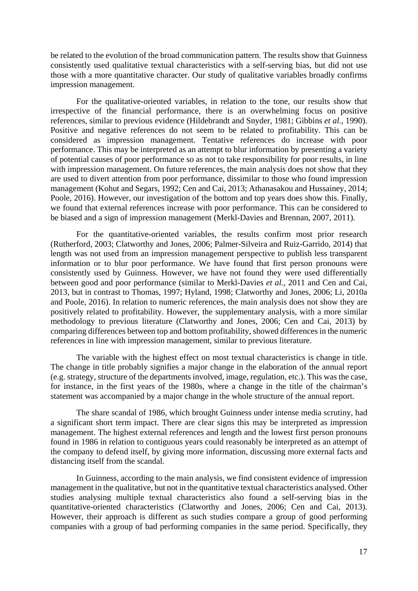be related to the evolution of the broad communication pattern. The results show that Guinness consistently used qualitative textual characteristics with a self-serving bias, but did not use those with a more quantitative character. Our study of qualitative variables broadly confirms impression management.

For the qualitative-oriented variables, in relation to the tone, our results show that irrespective of the financial performance, there is an overwhelming focus on positive references, similar to previous evidence (Hildebrandt and Snyder, 1981; Gibbins *et al.*, 1990). Positive and negative references do not seem to be related to profitability. This can be considered as impression management. Tentative references do increase with poor performance. This may be interpreted as an attempt to blur information by presenting a variety of potential causes of poor performance so as not to take responsibility for poor results, in line with impression management. On future references, the main analysis does not show that they are used to divert attention from poor performance, dissimilar to those who found impression management (Kohut and Segars, 1992; Cen and Cai, 2013; Athanasakou and Hussainey, 2014; Poole, 2016). However, our investigation of the bottom and top years does show this. Finally, we found that external references increase with poor performance. This can be considered to be biased and a sign of impression management (Merkl-Davies and Brennan, 2007, 2011).

For the quantitative-oriented variables, the results confirm most prior research (Rutherford, 2003; Clatworthy and Jones, 2006; Palmer-Silveira and Ruiz-Garrido, 2014) that length was not used from an impression management perspective to publish less transparent information or to blur poor performance. We have found that first person pronouns were consistently used by Guinness. However, we have not found they were used differentially between good and poor performance (similar to Merkl-Davies *et al.*, 2011 and Cen and Cai, 2013, but in contrast to Thomas, 1997; Hyland, 1998; Clatworthy and Jones, 2006; Li, 2010a and Poole, 2016). In relation to numeric references, the main analysis does not show they are positively related to profitability. However, the supplementary analysis, with a more similar methodology to previous literature (Clatworthy and Jones, 2006; Cen and Cai, 2013) by comparing differences between top and bottom profitability, showed differences in the numeric references in line with impression management, similar to previous literature.

The variable with the highest effect on most textual characteristics is change in title. The change in title probably signifies a major change in the elaboration of the annual report (e.g. strategy, structure of the departments involved, image, regulation, etc.). This was the case, for instance, in the first years of the 1980s, where a change in the title of the chairman's statement was accompanied by a major change in the whole structure of the annual report.

The share scandal of 1986, which brought Guinness under intense media scrutiny, had a significant short term impact. There are clear signs this may be interpreted as impression management. The highest external references and length and the lowest first person pronouns found in 1986 in relation to contiguous years could reasonably be interpreted as an attempt of the company to defend itself, by giving more information, discussing more external facts and distancing itself from the scandal.

In Guinness, according to the main analysis, we find consistent evidence of impression management in the qualitative, but not in the quantitative textual characteristics analysed. Other studies analysing multiple textual characteristics also found a self-serving bias in the quantitative-oriented characteristics (Clatworthy and Jones, 2006; Cen and Cai, 2013). However, their approach is different as such studies compare a group of good performing companies with a group of bad performing companies in the same period. Specifically, they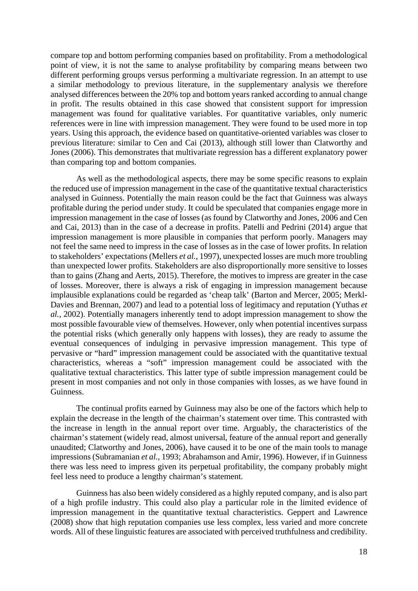compare top and bottom performing companies based on profitability. From a methodological point of view, it is not the same to analyse profitability by comparing means between two different performing groups versus performing a multivariate regression. In an attempt to use a similar methodology to previous literature, in the supplementary analysis we therefore analysed differences between the 20% top and bottom years ranked according to annual change in profit. The results obtained in this case showed that consistent support for impression management was found for qualitative variables. For quantitative variables, only numeric references were in line with impression management. They were found to be used more in top years. Using this approach, the evidence based on quantitative-oriented variables was closer to previous literature: similar to Cen and Cai (2013), although still lower than Clatworthy and Jones (2006). This demonstrates that multivariate regression has a different explanatory power than comparing top and bottom companies.

As well as the methodological aspects, there may be some specific reasons to explain the reduced use of impression management in the case of the quantitative textual characteristics analysed in Guinness. Potentially the main reason could be the fact that Guinness was always profitable during the period under study. It could be speculated that companies engage more in impression management in the case of losses (as found by Clatworthy and Jones, 2006 and Cen and Cai, 2013) than in the case of a decrease in profits. Patelli and Pedrini (2014) argue that impression management is more plausible in companies that perform poorly. Managers may not feel the same need to impress in the case of losses as in the case of lower profits. In relation to stakeholders' expectations (Mellers *et al.*, 1997), unexpected losses are much more troubling than unexpected lower profits. Stakeholders are also disproportionally more sensitive to losses than to gains (Zhang and Aerts, 2015). Therefore, the motives to impress are greater in the case of losses. Moreover, there is always a risk of engaging in impression management because implausible explanations could be regarded as 'cheap talk' (Barton and Mercer, 2005; Merkl-Davies and Brennan, 2007) and lead to a potential loss of legitimacy and reputation (Yuthas *et al.*, 2002). Potentially managers inherently tend to adopt impression management to show the most possible favourable view of themselves. However, only when potential incentives surpass the potential risks (which generally only happens with losses), they are ready to assume the eventual consequences of indulging in pervasive impression management. This type of pervasive or "hard" impression management could be associated with the quantitative textual characteristics, whereas a "soft" impression management could be associated with the qualitative textual characteristics. This latter type of subtle impression management could be present in most companies and not only in those companies with losses, as we have found in Guinness.

The continual profits earned by Guinness may also be one of the factors which help to explain the decrease in the length of the chairman's statement over time. This contrasted with the increase in length in the annual report over time. Arguably, the characteristics of the chairman's statement (widely read, almost universal, feature of the annual report and generally unaudited; Clatworthy and Jones, 2006), have caused it to be one of the main tools to manage impressions (Subramanian *et al.*, 1993; Abrahamson and Amir, 1996). However, if in Guinness there was less need to impress given its perpetual profitability, the company probably might feel less need to produce a lengthy chairman's statement.

Guinness has also been widely considered as a highly reputed company, and is also part of a high profile industry. This could also play a particular role in the limited evidence of impression management in the quantitative textual characteristics. Geppert and Lawrence (2008) show that high reputation companies use less complex, less varied and more concrete words. All of these linguistic features are associated with perceived truthfulness and credibility.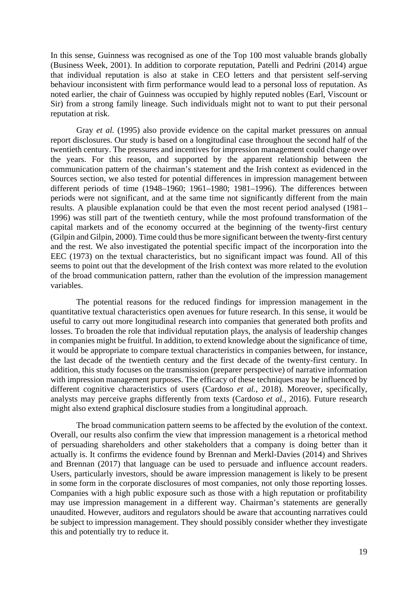In this sense, Guinness was recognised as one of the Top 100 most valuable brands globally (Business Week, 2001). In addition to corporate reputation, Patelli and Pedrini (2014) argue that individual reputation is also at stake in CEO letters and that persistent self-serving behaviour inconsistent with firm performance would lead to a personal loss of reputation. As noted earlier, the chair of Guinness was occupied by highly reputed nobles (Earl, Viscount or Sir) from a strong family lineage. Such individuals might not to want to put their personal reputation at risk.

Gray *et al.* (1995) also provide evidence on the capital market pressures on annual report disclosures. Our study is based on a longitudinal case throughout the second half of the twentieth century. The pressures and incentives for impression management could change over the years. For this reason, and supported by the apparent relationship between the communication pattern of the chairman's statement and the Irish context as evidenced in the Sources section, we also tested for potential differences in impression management between different periods of time (1948–1960; 1961–1980; 1981–1996). The differences between periods were not significant, and at the same time not significantly different from the main results. A plausible explanation could be that even the most recent period analysed (1981– 1996) was still part of the twentieth century, while the most profound transformation of the capital markets and of the economy occurred at the beginning of the twenty-first century (Gilpin and Gilpin, 2000). Time could thus be more significant between the twenty-first century and the rest. We also investigated the potential specific impact of the incorporation into the EEC (1973) on the textual characteristics, but no significant impact was found. All of this seems to point out that the development of the Irish context was more related to the evolution of the broad communication pattern, rather than the evolution of the impression management variables.

The potential reasons for the reduced findings for impression management in the quantitative textual characteristics open avenues for future research. In this sense, it would be useful to carry out more longitudinal research into companies that generated both profits and losses. To broaden the role that individual reputation plays, the analysis of leadership changes in companies might be fruitful. In addition, to extend knowledge about the significance of time, it would be appropriate to compare textual characteristics in companies between, for instance, the last decade of the twentieth century and the first decade of the twenty-first century. In addition, this study focuses on the transmission (preparer perspective) of narrative information with impression management purposes. The efficacy of these techniques may be influenced by different cognitive characteristics of users (Cardoso *et al.*, 2018). Moreover, specifically, analysts may perceive graphs differently from texts (Cardoso *et al.*, 2016). Future research might also extend graphical disclosure studies from a longitudinal approach.

The broad communication pattern seems to be affected by the evolution of the context. Overall, our results also confirm the view that impression management is a rhetorical method of persuading shareholders and other stakeholders that a company is doing better than it actually is. It confirms the evidence found by Brennan and Merkl-Davies (2014) and Shrives and Brennan (2017) that language can be used to persuade and influence account readers. Users, particularly investors, should be aware impression management is likely to be present in some form in the corporate disclosures of most companies, not only those reporting losses. Companies with a high public exposure such as those with a high reputation or profitability may use impression management in a different way. Chairman's statements are generally unaudited. However, auditors and regulators should be aware that accounting narratives could be subject to impression management. They should possibly consider whether they investigate this and potentially try to reduce it.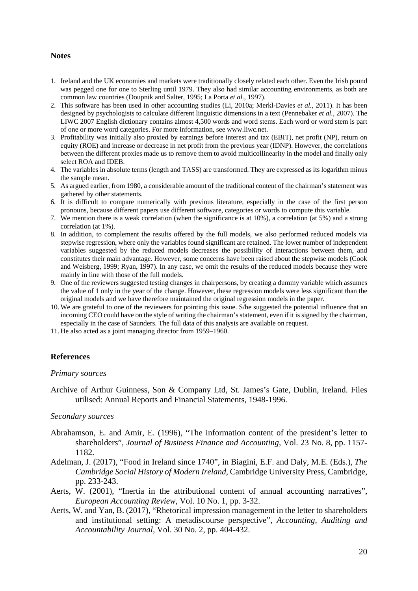#### **Notes**

- 1. Ireland and the UK economies and markets were traditionally closely related each other. Even the Irish pound was pegged one for one to Sterling until 1979. They also had similar accounting environments, as both are common law countries (Doupnik and Salter, 1995; La Porta *et al.*, 1997).
- 2. This software has been used in other accounting studies (Li, 2010a; Merkl-Davies *et al.*, 2011). It has been designed by psychologists to calculate different linguistic dimensions in a text (Pennebaker *et al.*, 2007). The LIWC 2007 English dictionary contains almost 4,500 words and word stems. Each word or word stem is part of one or more word categories. For more information, see www.liwc.net.
- 3. Profitability was initially also proxied by earnings before interest and tax (EBIT), net profit (NP), return on equity (ROE) and increase or decrease in net profit from the previous year (IDNP). However, the correlations between the different proxies made us to remove them to avoid multicollinearity in the model and finally only select ROA and IDEB.
- 4. The variables in absolute terms (length and TASS) are transformed. They are expressed as its logarithm minus the sample mean.
- 5. As argued earlier, from 1980, a considerable amount of the traditional content of the chairman's statement was gathered by other statements.
- 6. It is difficult to compare numerically with previous literature, especially in the case of the first person pronouns, because different papers use different software, categories or words to compute this variable.
- 7. We mention there is a weak correlation (when the significance is at 10%), a correlation (at 5%) and a strong correlation (at 1%).
- 8. In addition, to complement the results offered by the full models, we also performed reduced models via stepwise regression, where only the variables found significant are retained. The lower number of independent variables suggested by the reduced models decreases the possibility of interactions between them, and constitutes their main advantage. However, some concerns have been raised about the stepwise models (Cook and Weisberg, 1999; Ryan, 1997). In any case, we omit the results of the reduced models because they were mainly in line with those of the full models.
- 9. One of the reviewers suggested testing changes in chairpersons, by creating a dummy variable which assumes the value of 1 only in the year of the change. However, these regression models were less significant than the original models and we have therefore maintained the original regression models in the paper.
- 10. We are grateful to one of the reviewers for pointing this issue. S/he suggested the potential influence that an incoming CEO could have on the style of writing the chairman's statement, even if it is signed by the chairman, especially in the case of Saunders. The full data of this analysis are available on request.
- 11. He also acted as a joint managing director from 1959–1960.

### **References**

#### *Primary sources*

Archive of Arthur Guinness, Son & Company Ltd, St. James's Gate, Dublin, Ireland. Files utilised: Annual Reports and Financial Statements, 1948-1996.

#### *Secondary sources*

- Abrahamson, E. and Amir, E. (1996), "The information content of the president's letter to shareholders", *Journal of Business Finance and Accounting*, Vol. 23 No. 8, pp. 1157- 1182.
- Adelman, J. (2017), "Food in Ireland since 1740", in Biagini, E.F. and Daly, M.E. (Eds.), *The Cambridge Social History of Modern Ireland*, Cambridge University Press, Cambridge, pp. 233-243.
- Aerts, W. (2001), "Inertia in the attributional content of annual accounting narratives", *European Accounting Review*, Vol. 10 No. 1, pp. 3-32.
- Aerts, W. and Yan, B. (2017), "Rhetorical impression management in the letter to shareholders and institutional setting: A metadiscourse perspective", *Accounting, Auditing and Accountability Journal*, Vol. 30 No. 2, pp. 404-432.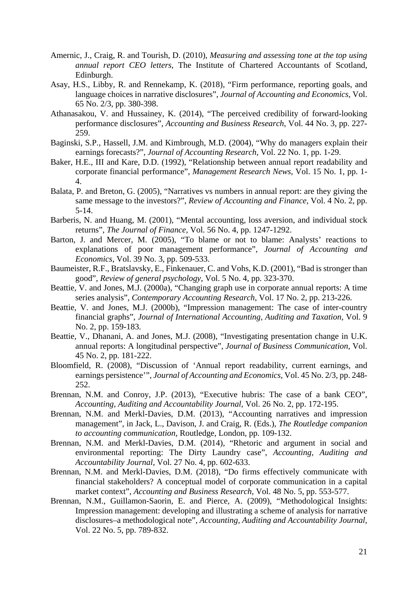- Amernic, J., Craig, R. and Tourish, D. (2010), *Measuring and assessing tone at the top using annual report CEO letters*, The Institute of Chartered Accountants of Scotland, Edinburgh.
- Asay, H.S., Libby, R. and Rennekamp, K. (2018), "Firm performance, reporting goals, and language choices in narrative disclosures", *Journal of Accounting and Economics*, Vol. 65 No. 2/3, pp. 380-398.
- Athanasakou, V. and Hussainey, K. (2014), "The perceived credibility of forward-looking performance disclosures", *Accounting and Business Research*, Vol. 44 No. 3, pp. 227- 259.
- Baginski, S.P., Hassell, J.M. and Kimbrough, M.D. (2004), "Why do managers explain their earnings forecasts?", *Journal of Accounting Research*, Vol. 22 No. 1, pp. 1-29.
- Baker, H.E., III and Kare, D.D. (1992), "Relationship between annual report readability and corporate financial performance", *Management Research News*, Vol. 15 No. 1, pp. 1- 4.
- Balata, P. and Breton, G. (2005), "Narratives vs numbers in annual report: are they giving the same message to the investors?", *Review of Accounting and Finance,* Vol. 4 No. 2, pp. 5-14.
- Barberis, N. and Huang, M. (2001), "Mental accounting, loss aversion, and individual stock returns", *The Journal of Finance*, Vol. 56 No. 4, pp. 1247-1292.
- Barton, J. and Mercer, M. (2005), "To blame or not to blame: Analysts' reactions to explanations of poor management performance", *Journal of Accounting and Economics*, Vol. 39 No. 3, pp. 509-533.
- Baumeister, R.F., Bratslavsky, E., Finkenauer, C. and Vohs, K.D. (2001), "Bad is stronger than good", *Review of general psychology*, Vol. 5 No. 4, pp. 323-370.
- Beattie, V. and Jones, M.J. (2000a), "Changing graph use in corporate annual reports: A time series analysis", *Contemporary Accounting Research,* Vol. 17 No. 2, pp. 213-226.
- Beattie, V. and Jones, M.J. (2000b), "Impression management: The case of inter-country financial graphs", *Journal of International Accounting, Auditing and Taxation*, Vol. 9 No. 2, pp. 159-183.
- Beattie, V., Dhanani, A. and Jones, M.J. (2008), "Investigating presentation change in U.K. annual reports: A longitudinal perspective", *Journal of Business Communication,* Vol. 45 No. 2, pp. 181-222.
- Bloomfield, R. (2008), "Discussion of 'Annual report readability, current earnings, and earnings persistence'", *Journal of Accounting and Economics*, Vol. 45 No. 2/3, pp. 248- 252.
- Brennan, N.M. and Conroy, J.P. (2013), "Executive hubris: The case of a bank CEO", *Accounting, Auditing and Accountability Journal*, Vol. 26 No. 2, pp. 172-195.
- Brennan, N.M. and Merkl-Davies, D.M. (2013), "Accounting narratives and impression management", in Jack, L., Davison, J. and Craig, R. (Eds.), *The Routledge companion to accounting communication*, Routledge, London, pp. 109-132.
- Brennan, N.M. and Merkl-Davies, D.M. (2014), "Rhetoric and argument in social and environmental reporting: The Dirty Laundry case", *Accounting, Auditing and Accountability Journal*, Vol. 27 No. 4, pp. 602-633.
- Brennan, N.M. and Merkl-Davies, D.M. (2018), "Do firms effectively communicate with financial stakeholders? A conceptual model of corporate communication in a capital market context", *Accounting and Business Research*, Vol. 48 No. 5, pp. 553-577.
- Brennan, N.M., Guillamon-Saorin, E. and Pierce, A. (2009), "Methodological Insights: Impression management: developing and illustrating a scheme of analysis for narrative disclosures–a methodological note", *Accounting, Auditing and Accountability Journal*, Vol. 22 No. 5, pp. 789-832.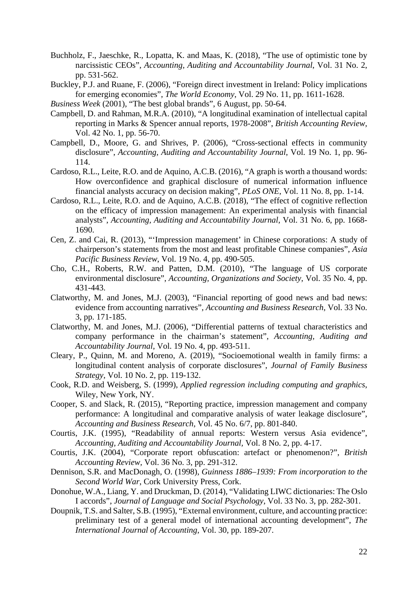- Buchholz, F., Jaeschke, R., Lopatta, K. and Maas, K. (2018), "The use of optimistic tone by narcissistic CEOs", *Accounting, Auditing and Accountability Journal*, Vol. 31 No. 2, pp. 531-562.
- Buckley, P.J. and Ruane, F. (2006), "Foreign direct investment in Ireland: Policy implications for emerging economies", *The World Economy*, Vol. 29 No. 11, pp. 1611-1628.
- *Business Week* (2001), "The best global brands", 6 August, pp. 50-64.
- Campbell, D. and Rahman, M.R.A. (2010), "A longitudinal examination of intellectual capital reporting in Marks & Spencer annual reports, 1978-2008", *British Accounting Review,*  Vol. 42 No. 1, pp. 56-70.
- Campbell, D., Moore, G. and Shrives, P. (2006), "Cross-sectional effects in community disclosure", *Accounting, Auditing and Accountability Journal*, Vol. 19 No. 1, pp. 96- 114.
- Cardoso, R.L., Leite, R.O. and de Aquino, A.C.B. (2016), "A graph is worth a thousand words: How overconfidence and graphical disclosure of numerical information influence financial analysts accuracy on decision making", *PLoS ONE*, Vol. 11 No. 8, pp. 1-14.
- Cardoso, R.L., Leite, R.O. and de Aquino, A.C.B. (2018), "The effect of cognitive reflection on the efficacy of impression management: An experimental analysis with financial analysts", *Accounting, Auditing and Accountability Journal*, Vol. 31 No. 6, pp. 1668- 1690.
- Cen, Z. and Cai, R. (2013), "'Impression management' in Chinese corporations: A study of chairperson's statements from the most and least profitable Chinese companies", *Asia Pacific Business Review*, Vol. 19 No. 4, pp. 490-505.
- Cho, C.H., Roberts, R.W. and Patten, D.M. (2010), "The language of US corporate environmental disclosure", *Accounting, Organizations and Society*, Vol. 35 No. 4, pp. 431-443.
- Clatworthy, M. and Jones, M.J. (2003), "Financial reporting of good news and bad news: evidence from accounting narratives", *Accounting and Business Research*, Vol. 33 No. 3, pp. 171-185.
- Clatworthy, M. and Jones, M.J. (2006), "Differential patterns of textual characteristics and company performance in the chairman's statement", *Accounting, Auditing and Accountability Journal*, Vol. 19 No. 4, pp. 493-511.
- Cleary, P., Quinn, M. and Moreno, A. (2019), "Socioemotional wealth in family firms: a longitudinal content analysis of corporate disclosures", *Journal of Family Business Strategy*, Vol. 10 No. 2, pp. 119-132.
- Cook, R.D. and Weisberg, S. (1999), *Applied regression including computing and graphics*, Wiley, New York, NY.
- Cooper, S. and Slack, R. (2015), "Reporting practice, impression management and company performance: A longitudinal and comparative analysis of water leakage disclosure", *Accounting and Business Research,* Vol. 45 No. 6/7, pp. 801-840.
- Courtis, J.K. (1995), "Readability of annual reports: Western versus Asia evidence", *Accounting, Auditing and Accountability Journal,* Vol. 8 No. 2, pp. 4-17.
- Courtis, J.K. (2004), "Corporate report obfuscation: artefact or phenomenon?", *British Accounting Review,* Vol. 36 No. 3, pp. 291-312.
- Dennison, S.R. and MacDonagh, O. (1998), *Guinness 1886–1939: From incorporation to the Second World War*, Cork University Press, Cork.
- Donohue, W.A., Liang, Y. and Druckman, D. (2014), "Validating LIWC dictionaries: The Oslo I accords", *Journal of Language and Social Psychology*, Vol. 33 No. 3, pp. 282-301.
- Doupnik, T.S. and Salter, S.B. (1995), "External environment, culture, and accounting practice: preliminary test of a general model of international accounting development", *The International Journal of Accounting*, Vol. 30, pp. 189-207.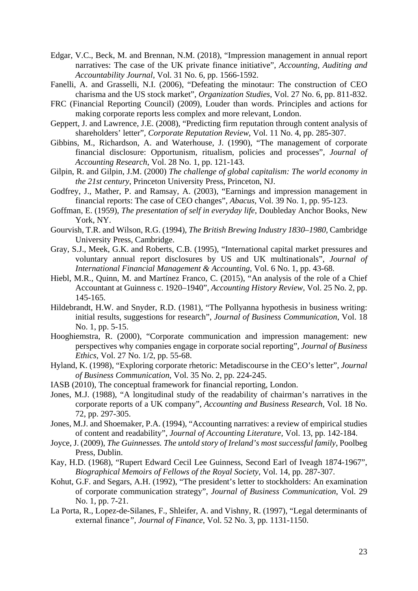- Edgar, V.C., Beck, M. and Brennan, N.M. (2018), "Impression management in annual report narratives: The case of the UK private finance initiative", *Accounting, Auditing and Accountability Journal*, Vol. 31 No. 6, pp. 1566-1592.
- Fanelli, A. and Grasselli, N.I. (2006), "Defeating the minotaur: The construction of CEO charisma and the US stock market", *Organization Studies*, Vol. 27 No. 6, pp. 811-832.
- FRC (Financial Reporting Council) (2009), Louder than words. Principles and actions for making corporate reports less complex and more relevant, London.
- Geppert, J. and Lawrence, J.E. (2008), "Predicting firm reputation through content analysis of shareholders' letter", *Corporate Reputation Review*, Vol. 11 No. 4, pp. 285-307.
- Gibbins, M., Richardson, A. and Waterhouse, J. (1990), "The management of corporate financial disclosure: Opportunism, ritualism, policies and processes", *Journal of Accounting Research*, Vol. 28 No. 1, pp. 121-143.
- Gilpin, R. and Gilpin, J.M. (2000) *The challenge of global capitalism: The world economy in the 21st century*, Princeton University Press, Princeton, NJ.
- Godfrey, J., Mather, P. and Ramsay, A. (2003), "Earnings and impression management in financial reports: The case of CEO changes", *Abacus*, Vol. 39 No. 1, pp. 95-123.
- Goffman, E. (1959), *The presentation of self in everyday life*, Doubleday Anchor Books, New York, NY.
- Gourvish, T.R. and Wilson, R.G. (1994), *The British Brewing Industry 1830–1980*, Cambridge University Press, Cambridge.
- Gray, S.J., Meek, G.K. and Roberts, C.B. (1995), "International capital market pressures and voluntary annual report disclosures by US and UK multinationals", *Journal of International Financial Management & Accounting*, Vol. 6 No. 1, pp. 43-68.
- Hiebl, M.R., Quinn, M. and Martínez Franco, C. (2015), "An analysis of the role of a Chief Accountant at Guinness c. 1920–1940", *Accounting History Review*, Vol. 25 No. 2, pp. 145-165.
- Hildebrandt, H.W. and Snyder, R.D. (1981), "The Pollyanna hypothesis in business writing: initial results, suggestions for research", *Journal of Business Communication*, Vol. 18 No. 1, pp. 5-15.
- Hooghiemstra, R. (2000), "Corporate communication and impression management: new perspectives why companies engage in corporate social reporting", *Journal of Business Ethics*, Vol. 27 No. 1/2, pp. 55-68.
- Hyland, K. (1998), "Exploring corporate rhetoric: Metadiscourse in the CEO's letter", *Journal of Business Communication*, Vol. 35 No. 2, pp. 224-245.
- IASB (2010), The conceptual framework for financial reporting, London.
- Jones, M.J. (1988), "A longitudinal study of the readability of chairman's narratives in the corporate reports of a UK company", *Accounting and Business Research,* Vol. 18 No. 72, pp. 297-305.
- Jones, M.J. and Shoemaker, P.A. (1994), "Accounting narratives: a review of empirical studies of content and readability", *Journal of Accounting Literature,* Vol. 13, pp. 142-184.
- Joyce, J. (2009), *The Guinnesses. The untold story of Ireland's most successful family*, Poolbeg Press, Dublin.
- Kay, H.D. (1968), "Rupert Edward Cecil Lee Guinness, Second Earl of Iveagh 1874-1967", *Biographical Memoirs of Fellows of the Royal Society*, Vol. 14, pp. 287-307.
- Kohut, G.F. and Segars, A.H. (1992), "The president's letter to stockholders: An examination of corporate communication strategy", *Journal of Business Communication*, Vol. 29 No. 1, pp. 7-21.
- La Porta, R., Lopez-de-Silanes, F., Shleifer, A. and Vishny, R. (1997), "Legal determinants of external finance*", Journal of Finance*, Vol. 52 No. 3, pp. 1131-1150.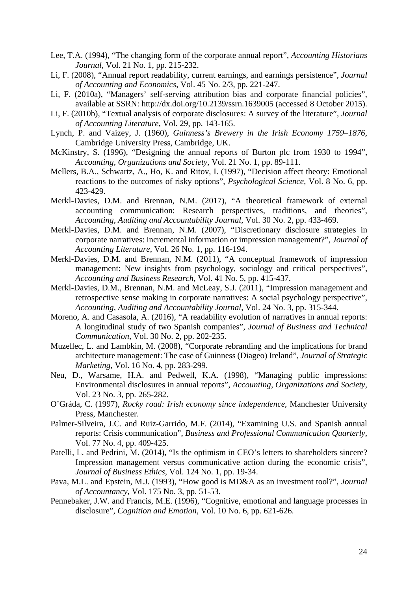- Lee, T.A. (1994), "The changing form of the corporate annual report", *Accounting Historians Journal*, Vol. 21 No. 1, pp. 215-232.
- Li, F. (2008), "Annual report readability, current earnings, and earnings persistence", *Journal of Accounting and Economics*, Vol. 45 No. 2/3, pp. 221-247.
- Li, F. (2010a), "Managers' self-serving attribution bias and corporate financial policies", available at SSRN: http://dx.doi.org/10.2139/ssrn.1639005 (accessed 8 October 2015).
- Li, F. (2010b), "Textual analysis of corporate disclosures: A survey of the literature", *Journal of Accounting Literature*, Vol. 29, pp. 143-165.
- Lynch, P. and Vaizey, J. (1960), *Guinness's Brewery in the Irish Economy 1759–1876*, Cambridge University Press, Cambridge, UK.
- McKinstry, S. (1996), "Designing the annual reports of Burton plc from 1930 to 1994", *Accounting, Organizations and Society,* Vol. 21 No. 1, pp. 89-111.
- Mellers, B.A., Schwartz, A., Ho, K. and Ritov, I. (1997), "Decision affect theory: Emotional reactions to the outcomes of risky options", *Psychological Science*, Vol. 8 No. 6, pp. 423-429.
- Merkl-Davies, D.M. and Brennan, N.M. (2017), "A theoretical framework of external accounting communication: Research perspectives, traditions, and theories", *Accounting, Auditing and Accountability Journal*, Vol. 30 No. 2, pp. 433-469.
- Merkl-Davies, D.M. and Brennan, N.M. (2007), "Discretionary disclosure strategies in corporate narratives: incremental information or impression management?", *Journal of Accounting Literature,* Vol. 26 No. 1, pp. 116-194.
- Merkl-Davies, D.M. and Brennan, N.M. (2011), "A conceptual framework of impression management: New insights from psychology, sociology and critical perspectives", *Accounting and Business Research*, Vol. 41 No. 5, pp. 415-437.
- Merkl-Davies, D.M., Brennan, N.M. and McLeay, S.J. (2011), "Impression management and retrospective sense making in corporate narratives: A social psychology perspective", *Accounting, Auditing and Accountability Journal*, Vol. 24 No. 3, pp. 315-344.
- Moreno, A. and Casasola, A. (2016), "A readability evolution of narratives in annual reports: A longitudinal study of two Spanish companies", *Journal of Business and Technical Communication*, Vol. 30 No. 2, pp. 202-235.
- Muzellec, L. and Lambkin, M. (2008), "Corporate rebranding and the implications for brand architecture management: The case of Guinness (Diageo) Ireland", *Journal of Strategic Marketing*, Vol. 16 No. 4, pp. 283-299.
- Neu, D., Warsame, H.A. and Pedwell, K.A. (1998), "Managing public impressions: Environmental disclosures in annual reports", *Accounting, Organizations and Society,*  Vol. 23 No. 3, pp. 265-282.
- O'Gráda, C. (1997), *Rocky road: Irish economy since independence*, Manchester University Press, Manchester.
- Palmer-Silveira, J.C. and Ruiz-Garrido, M.F. (2014), "Examining U.S. and Spanish annual reports: Crisis communication", *Business and Professional Communication Quarterly,* Vol. 77 No. 4, pp. 409-425.
- Patelli, L. and Pedrini, M. (2014), "Is the optimism in CEO's letters to shareholders sincere? Impression management versus communicative action during the economic crisis", *Journal of Business Ethics*, Vol. 124 No. 1, pp. 19-34.
- Pava, M.L. and Epstein, M.J. (1993), "How good is MD&A as an investment tool?", *Journal of Accountancy*, Vol. 175 No. 3, pp. 51-53.
- Pennebaker, J.W. and Francis, M.E. (1996), "Cognitive, emotional and language processes in disclosure", *Cognition and Emotion*, Vol. 10 No. 6, pp. 621-626.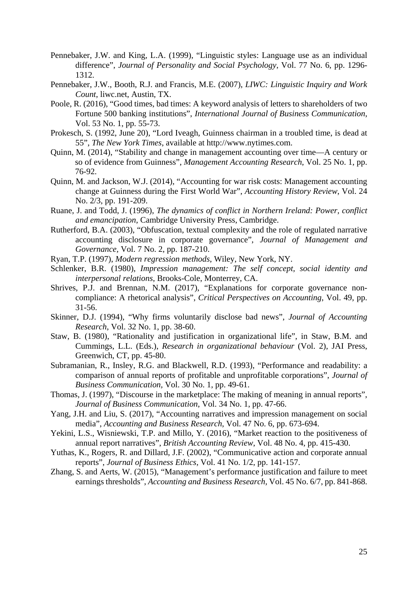- Pennebaker, J.W. and King, L.A. (1999), "Linguistic styles: Language use as an individual difference", *Journal of Personality and Social Psychology*, Vol. 77 No. 6, pp. 1296- 1312.
- Pennebaker, J.W., Booth, R.J. and Francis, M.E. (2007), *LIWC: Linguistic Inquiry and Work Count*, liwc.net, Austin, TX.
- Poole, R. (2016), "Good times, bad times: A keyword analysis of letters to shareholders of two Fortune 500 banking institutions", *International Journal of Business Communication*, Vol. 53 No. 1, pp. 55-73.
- Prokesch, S. (1992, June 20), "Lord Iveagh, Guinness chairman in a troubled time, is dead at 55", *The New York Times*, available at http://www.nytimes.com.
- Quinn, M. (2014), "Stability and change in management accounting over time—A century or so of evidence from Guinness", *Management Accounting Research*, Vol. 25 No. 1, pp. 76-92.
- Quinn, M. and Jackson, W.J. (2014), "Accounting for war risk costs: Management accounting change at Guinness during the First World War", *Accounting History Review*, Vol. 24 No. 2/3, pp. 191-209.
- Ruane, J. and Todd, J. (1996), *The dynamics of conflict in Northern Ireland: Power, conflict and emancipation*, Cambridge University Press, Cambridge.
- Rutherford, B.A. (2003), "Obfuscation, textual complexity and the role of regulated narrative accounting disclosure in corporate governance", *Journal of Management and Governance,* Vol. 7 No. 2, pp. 187-210.
- Ryan, T.P. (1997), *Modern regression methods*, Wiley, New York, NY.
- Schlenker, B.R. (1980), *Impression management: The self concept, social identity and interpersonal relations*, Brooks-Cole, Monterrey, CA.
- Shrives, P.J. and Brennan, N.M. (2017), "Explanations for corporate governance noncompliance: A rhetorical analysis", *Critical Perspectives on Accounting*, Vol. 49, pp. 31-56.
- Skinner, D.J. (1994), "Why firms voluntarily disclose bad news", *Journal of Accounting Research*, Vol. 32 No. 1, pp. 38-60.
- Staw, B. (1980), "Rationality and justification in organizational life", in Staw, B.M. and Cummings, L.L. (Eds.), *Research in organizational behaviour* (Vol. 2), JAI Press, Greenwich, CT, pp. 45-80.
- Subramanian, R., Insley, R.G. and Blackwell, R.D. (1993), "Performance and readability: a comparison of annual reports of profitable and unprofitable corporations", *Journal of Business Communication,* Vol. 30 No. 1, pp. 49-61.
- Thomas, J. (1997), "Discourse in the marketplace: The making of meaning in annual reports", *Journal of Business Communication*, Vol. 34 No. 1, pp. 47-66.
- Yang, J.H. and Liu, S. (2017), "Accounting narratives and impression management on social media", *Accounting and Business Research*, Vol. 47 No. 6, pp. 673-694.
- Yekini, L.S., Wisniewski, T.P. and Millo, Y. (2016), "Market reaction to the positiveness of annual report narratives", *British Accounting Review*, Vol. 48 No. 4, pp. 415-430.
- Yuthas, K., Rogers, R. and Dillard, J.F. (2002), "Communicative action and corporate annual reports", *Journal of Business Ethics*, Vol. 41 No. 1/2, pp. 141-157.
- Zhang, S. and Aerts, W. (2015), "Management's performance justification and failure to meet earnings thresholds", *Accounting and Business Research,* Vol. 45 No. 6/7, pp. 841-868.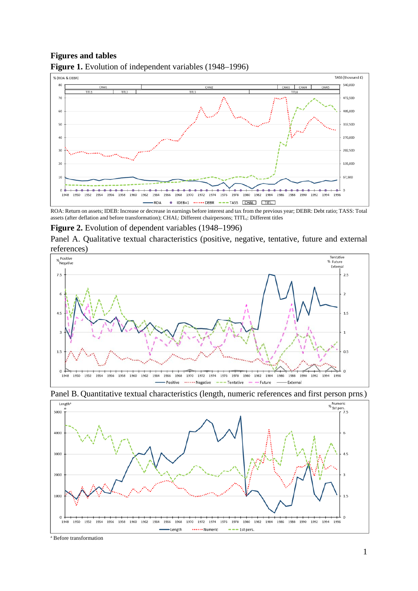## **Figures and tables**



**Figure 1.** Evolution of independent variables (1948–1996)

ROA: Return on assets; IDEB: Increase or decrease in earnings before interest and tax from the previous year; DEBR: Debt ratio; TASS: Total assets (after deflation and before transformation); CHAI<sub>i</sub>: Different chairpersons; TITL<sub>i</sub>: Different titles

## **Figure 2.** Evolution of dependent variables (1948–1996)

Panel A. Qualitative textual characteristics (positive, negative, tentative, future and external references)





Panel B. Quantitative textual characteristics (length, numeric references and first person prns.)

a Before transformation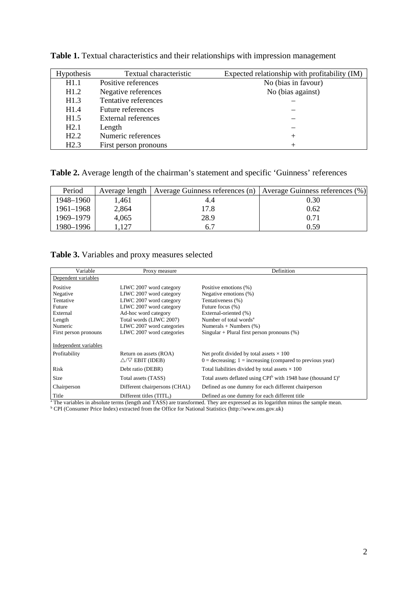| <b>Hypothesis</b> | Textual characteristic | Expected relationship with profitability (IM) |
|-------------------|------------------------|-----------------------------------------------|
| H1.1              | Positive references    | No (bias in favour)                           |
| H1.2              | Negative references    | No (bias against)                             |
| H1.3              | Tentative references   |                                               |
| H1.4              | Future references      |                                               |
| H1.5              | External references    |                                               |
| H2.1              | Length                 |                                               |
| H2.2              | Numeric references     | ┿                                             |
| H2.3              | First person pronouns  |                                               |

**Table 1.** Textual characteristics and their relationships with impression management

**Table 2.** Average length of the chairman's statement and specific 'Guinness' references

| Period    |       | Average length   Average Guinness references (n)   Average Guinness references (%) |      |
|-----------|-------|------------------------------------------------------------------------------------|------|
| 1948–1960 | 1.461 | 4.4                                                                                | 0.30 |
| 1961–1968 | 2,864 | 17.8                                                                               | 0.62 |
| 1969–1979 | 4,065 | 28.9                                                                               | 0.71 |
| 1980–1996 | .127  | 6.7                                                                                | 0.59 |

# **Table 3.** Variables and proxy measures selected

| Variable              | Proxy measure                               | Definition                                                                                                                                                                                 |
|-----------------------|---------------------------------------------|--------------------------------------------------------------------------------------------------------------------------------------------------------------------------------------------|
| Dependent variables   |                                             |                                                                                                                                                                                            |
| Positive              | LIWC 2007 word category                     | Positive emotions (%)                                                                                                                                                                      |
| Negative              | LIWC 2007 word category                     | Negative emotions (%)                                                                                                                                                                      |
| Tentative             | LIWC 2007 word category                     | Tentativeness (%)                                                                                                                                                                          |
| Future                | LIWC 2007 word category                     | Future focus (%)                                                                                                                                                                           |
| External              | Ad-hoc word category                        | External-oriented (%)                                                                                                                                                                      |
| Length                | Total words (LIWC 2007)                     | Number of total words <sup>a</sup>                                                                                                                                                         |
| Numeric               | LIWC 2007 word categories                   | Numerals + Numbers $(\%)$                                                                                                                                                                  |
| First person pronouns | LIWC 2007 word categories                   | Singular + Plural first person pronouns $(\%)$                                                                                                                                             |
| Independent variables |                                             |                                                                                                                                                                                            |
| Profitability         | Return on assets (ROA)                      | Net profit divided by total assets $\times$ 100                                                                                                                                            |
|                       | $\triangle$ / $\triangledown$ EBIT (IDEB)   | $0 =$ decreasing; $1 =$ increasing (compared to previous year)                                                                                                                             |
| Risk                  | Debt ratio (DEBR)                           | Total liabilities divided by total assets $\times$ 100                                                                                                                                     |
| Size                  | Total assets (TASS)                         | Total assets deflated using CPI <sup>b</sup> with 1948 base (thousand $\pounds$ ) <sup>a</sup>                                                                                             |
| Chairperson           | Different chairpersons (CHAI <sub>i</sub> ) | Defined as one dummy for each different chairperson                                                                                                                                        |
| Title                 | Different titles (TITL.)                    | Defined as one dummy for each different title<br><sup>a</sup> The variables in absolute terms (length and TASS) are transformed. They are expressed as its logarithm minus the sample mean |

 $^a$  The variables in absolute terms (length and TASS) are transformed. They are expressed as its logarithm minus the sample mean.<br> $^b$  CPI (Consumer Price Index) extracted from the Office for National Statistics (http://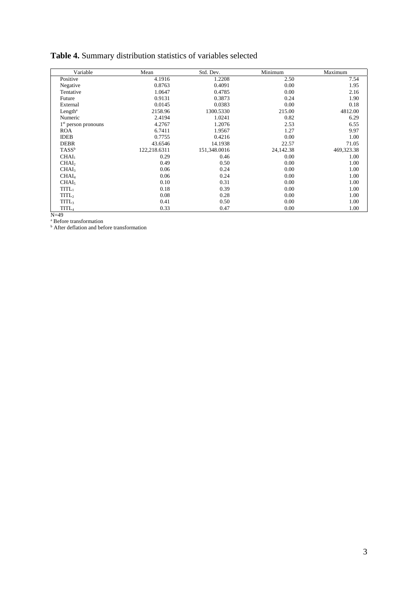# **Table 4.** Summary distribution statistics of variables selected

| Variable                 | Mean         | Std. Dev.    | Minimum   | Maximum    |
|--------------------------|--------------|--------------|-----------|------------|
| Positive                 | 4.1916       | 1.2208       | 2.50      | 7.54       |
| Negative                 | 0.8763       | 0.4091       | 0.00      | 1.95       |
| Tentative                | 1.0647       | 0.4785       | 0.00      | 2.16       |
| Future                   | 0.9131       | 0.3873       | 0.24      | 1.90       |
| External                 | 0.0145       | 0.0383       | 0.00      | 0.18       |
| Length <sup>a</sup>      | 2158.96      | 1300.5330    | 215.00    | 4812.00    |
| Numeric                  | 2.4194       | 1.0241       | 0.82      | 6.29       |
| $1st$ person pronouns    | 4.2767       | 1.2076       | 2.53      | 6.55       |
| <b>ROA</b>               | 6.7411       | 1.9567       | 1.27      | 9.97       |
| <b>IDEB</b>              | 0.7755       | 0.4216       | 0.00      | 1.00       |
| <b>DEBR</b>              | 43.6546      | 14.1938      | 22.57     | 71.05      |
| $TASS^b$                 | 122,218.6311 | 151,348.0016 | 24,142.38 | 469,323.38 |
| CHAI <sub>1</sub>        | 0.29         | 0.46         | 0.00      | 1.00       |
| CHAI <sub>2</sub>        | 0.49         | 0.50         | 0.00      | 1.00       |
| CHAI <sub>3</sub>        | 0.06         | 0.24         | 0.00      | 1.00       |
| CHAI <sub>4</sub>        | 0.06         | 0.24         | 0.00      | 1.00       |
| CHAI <sub>5</sub>        | 0.10         | 0.31         | 0.00      | 1.00       |
| $TITL_1$                 | 0.18         | 0.39         | 0.00      | 1.00       |
| TITL <sub>2</sub>        | 0.08         | 0.28         | 0.00      | 1.00       |
| <b>TITL</b> <sub>3</sub> | 0.41         | 0.50         | 0.00      | 1.00       |
| TITL <sub>4</sub>        | 0.33         | 0.47         | 0.00      | 1.00       |

N=49 a Before transformation b After deflation and before transformation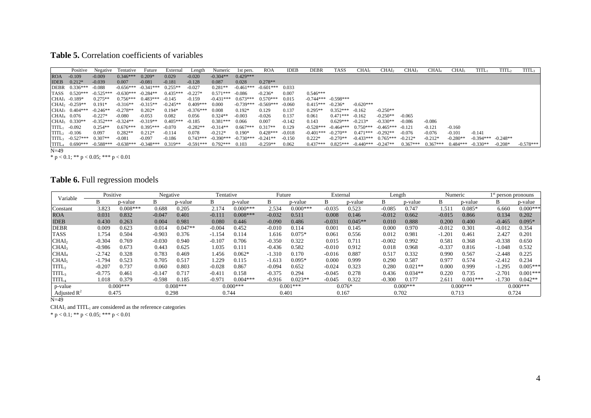#### **Table 5.** Correlation coefficients of variables

|                        | Positive                   | Negative                                                         | Tentative  | Future                         | External   | Length      | Numeric                    | 1st pers.   | <b>ROA</b>        | <b>IDEB</b> | <b>DEBR</b> | <b>TASS</b>             | CHAI <sub>1</sub>                            | CHAI2      | CHAI3      | CHAI4                            | CHAI5      | <b>TITL</b>            | TITL2     | <b>TITL</b> |
|------------------------|----------------------------|------------------------------------------------------------------|------------|--------------------------------|------------|-------------|----------------------------|-------------|-------------------|-------------|-------------|-------------------------|----------------------------------------------|------------|------------|----------------------------------|------------|------------------------|-----------|-------------|
| <b>ROA</b>             | $-0.109$                   | $-0.009$                                                         | $0.346***$ | $0.209*$                       | 0.029      | $-0.020$    | $-0.304**$                 | $0.429***$  |                   |             |             |                         |                                              |            |            |                                  |            |                        |           |             |
| <b>IDEB</b>            | $0.212*$                   | $-0.039$                                                         | 0.007      | $-0.081$                       | $-0.181$   | $-0.128$    | 0.087                      | 0.028       | $0.278**$         |             |             |                         |                                              |            |            |                                  |            |                        |           |             |
|                        | DEBR 0.336***              | $-0.088$                                                         |            | $-0.656***$ $-0.341***$        | $0.255**$  | $-0.027$    | $0.281**$                  | $-0.461***$ | $-0.601***$ 0.033 |             |             |                         |                                              |            |            |                                  |            |                        |           |             |
|                        | TASS 0.520***              | $-0.525***$ $-0.630***$ $-0.284**$                               |            |                                | $0.435***$ | $-0.227*$   | $0.571***$                 | -0.086      | $-0.236*$         | 0.007       | $0.546***$  |                         |                                              |            |            |                                  |            |                        |           |             |
|                        | $CHAI1 -0.189*$            | $0.275**$                                                        |            | $0.756***$ $0.483***$ $-0.145$ |            | $-0.159$    | $-0.431***$                | $0.673***$  | $0.570***$        | 0.015       |             | $-0.744***$ $-0.598***$ |                                              |            |            |                                  |            |                        |           |             |
|                        | $CHAI2 -0.259**$           | $0.191*$                                                         | $-0.316**$ | $-0.315**$                     | $-0.245**$ | $0.409***$  | 0.000                      | $-0.739***$ | $-0.569***$       | -0.060      | $0.415***$  | $-0.236*$               | $-0.620***$                                  |            |            |                                  |            |                        |           |             |
|                        | $CHAI3 0.404***$           | $-0.246**$                                                       | $-0.278**$ | $0.202*$                       | $0.194*$   | $-0.376***$ | 0.008                      | $0.192*$    | 0.129             | 0.137       | $0.295**$   | $0.352***$ -0.162       |                                              | $-0.250**$ |            |                                  |            |                        |           |             |
|                        | $CHAI4$ 0.076              | $-0.227*$                                                        | $-0.080$   | $-0.053$                       | 0.082      | 0.056       | $0.324**$                  | $-0.003$    | $-0.026$          | 0.137       | 0.061       | $0.471***$ -0.162       |                                              | $-0.250**$ | $-0.065$   |                                  |            |                        |           |             |
|                        | $CHAI5$ 0.330**            | $-0.352***$ $-0.324**$                                           |            | $-0.319**$                     | $0.405***$ | $-0.185$    | $0.381***$                 | 0.066       | 0.007             | $-0.142$    | 0.143       | $0.629***$ $-0.213*$    |                                              | $-0.330**$ | $-0.086$   | $-0.086$                         |            |                        |           |             |
|                        | $TITL1 -0.092$             | $0.254**$                                                        | $0.676***$ | $0.395***$                     | $-0.070$   | $-0.282**$  | $-0.314**$                 | $0.667***$  | $0.317**$         | 0.129       | $-0.528***$ |                         | $-0.464***$ $0.750***$ $-0.465***$ $-0.121$  |            |            | $-0.121$                         | $-0.160$   |                        |           |             |
|                        | $TITL2 -0.106$             | 0.097                                                            | $0.282**$  | $0.212*$                       | $-0.114$   | 0.078       | $-0.212*$                  | $0.190*$    | $0.428***$        | $-0.018$    | $-0.401***$ | $-0.270**$              | $0.471***$ $-0.292**$                        |            | $-0.076$   | $-0.076$                         | $-0.101$   | $-0.141$               |           |             |
|                        | $TTTL_3$ -0.527*** 0.307** |                                                                  | $-0.081$   | $-0.097$                       | $-0.186$   |             | $0.743***$ $-0.390***$     | $-0.730***$ | $-0.241**$        | $-0.150$    | $0.222*$    | $-0.270**$              | $-0.433***$ 0.765*** $-0.212*$               |            |            | $-0.212*$                        | $-0.280**$ | $-0.394***$ $-0.248**$ |           |             |
|                        |                            | $\overline{\text{TTL}}_4$ 0.690*** -0.588*** -0.638*** -0.348*** |            |                                | $0.319**$  |             | $-0.591***$ 0.792*** 0.103 |             | $-0.259**$        | 0.062       |             |                         | $0.437***$ $0.825***$ $-0.440***$ $-0.247**$ |            | $0.367***$ | $0.367***$ $0.484***$ $-0.330**$ |            |                        | $-0.208*$ | $-0.578***$ |
| $\mathbf{M}$ $\Lambda$ |                            |                                                                  |            |                                |            |             |                            |             |                   |             |             |                         |                                              |            |            |                                  |            |                        |           |             |

N=49 \* p < 0.1; \*\* p < 0.05; \*\*\* p < 0.01

# **Table 6.** Full regression models

| Positive   |            | Negative   |           | Tentative  |            | Future   |            | External |           | Length            |           | Numeric    |            | I <sup>st</sup> person pronouns |            |
|------------|------------|------------|-----------|------------|------------|----------|------------|----------|-----------|-------------------|-----------|------------|------------|---------------------------------|------------|
| В          | p-value    | B          | p-value   | B          | p-value    | B        | p-value    | B        | p-value   | B                 | p-value   | B          | p-value    | B                               | p-value    |
| 3.823      | $0.008***$ | 0.688      | 0.205     | 2.174      | $0.000***$ | 2.534    | $0.000***$ | $-0.035$ | 0.523     | $-0.085$          | 0.747     | .51        | $0.085*$   | 6.660                           | $0.000***$ |
| 0.031      | 0.832      | $-0.047$   | 0.401     | $-0.111$   | $0.008***$ | $-0.032$ | 0.511      | 0.008    | 0.146     | $-0.012$          | 0.662     | $-0.015$   | 0.866      | 0.134                           | 0.202      |
| 0.430      | 0.263      | 0.004      | 0.981     | 0.080      | 0.446      | $-0.090$ | 0.486      | $-0.031$ | $0.045**$ | 0.010             | 0.888     | 0.200      | 0.400      | $-0.465$                        | $0.095*$   |
| 0.009      | 0.623      | 0.014      | $0.047**$ | $-0.004$   | 0.452      | $-0.010$ | 0.114      | 0.001    | 0.145     | 0.000             | 0.970     | $-0.012$   | 0.301      | $-0.012$                        | 0.354      |
| l.754      | 0.504      | $-0.903$   | 0.376     | $-1.154$   | 0.114      | 1.616    | $0.075*$   | 0.061    | 0.556     | 0.012             | 0.981     | $-1.201$   | 0.461      | 2.427                           | 0.201      |
| $-0.304$   | 0.769      | $-0.030$   | 0.940     | $-0.107$   | 0.706      | $-0.350$ | 0.322      | 0.015    | 0.711     | $-0.002$          | 0.992     | 0.581      | 0.368      | $-0.338$                        | 0.650      |
| $-0.986$   | 0.673      | 0.443      | 0.625     | 1.035      | 0.111      | $-0.436$ | 0.582      | $-0.010$ | 0.912     | 0.018             | 0.968     | $-0.337$   | 0.816      | $-1.048$                        | 0.532      |
| $-2.742$   | 0.328      | 0.783      | 0.469     | 1.456      | $0.062*$   | $-1.310$ | 0.170      | $-0.016$ | 0.887     | 0.517             | 0.332     | 0.990      | 0.567      | $-2.448$                        | 0.225      |
| $-1.794$   | 0.523      | 0.705      | 0.517     | 1.229      | 0.115      | $-1.613$ | $0.095*$   | 0.000    | 0.999     | 0.290             | 0.587     | 0.977      | 0.574      | $-2.412$                        | 0.234      |
| $-0.207$   | 0.737      | 0.060      | 0.803     | $-0.028$   | 0.867      | $-0.094$ | 0.652      | $-0.024$ | 0.323     | 0.280             | $0.021**$ | 0.000      | 0.999      | $-1.295$                        | $0.005***$ |
| $-0.775$   | 0.461      | $-0.147$   | 0.717     | $-0.411$   | 0.158      | $-0.375$ | 0.294      | $-0.045$ | 0.278     | 0.436             | $0.034**$ | 0.220      | 0.735      | $-2.701$                        | $0.001***$ |
| 1.018      | 0.379      | $-0.598$   | 0.185     | $-0.971$   | $0.004***$ | $-0.916$ | $0.023**$  | $-0.045$ | 0.322     | $-0.300$          | 0.177     | 2.611      | $0.001***$ | $-1.730$                        | $0.042**$  |
| $0.000***$ |            | $0.008***$ |           | $0.000***$ |            |          | $0.001***$ |          |           | $0.000***$        |           | $0.000***$ |            | $0.000***$                      |            |
|            |            |            |           |            |            |          |            |          |           |                   |           |            |            |                                 | 0.724      |
|            |            | 0.475      |           | 0.298      |            | 0.744    |            | 0.401    |           | $0.076*$<br>0.167 |           | 0.702      |            | 0.713                           |            |

N=49

 $CHAI<sub>1</sub>$  and  $TITL<sub>1</sub>$  are considered as the reference categories

\* p < 0.1; \*\* p < 0.05; \*\*\* p < 0.01